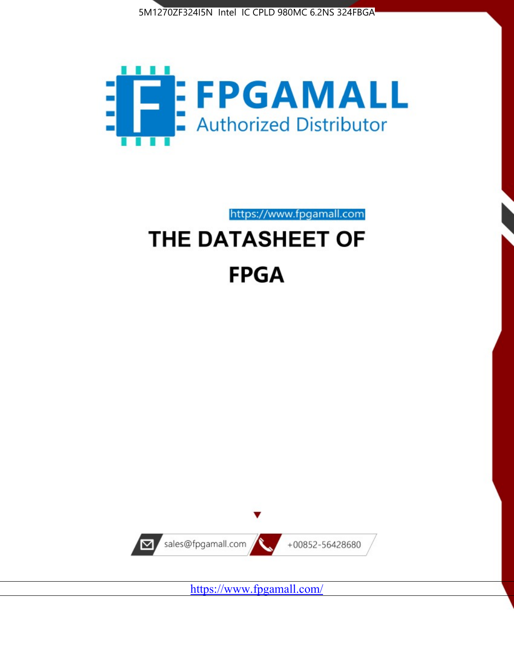



https://www.fpgamall.com

# THE DATASHEET OF **FPGA**



<https://www.fpgamall.com/>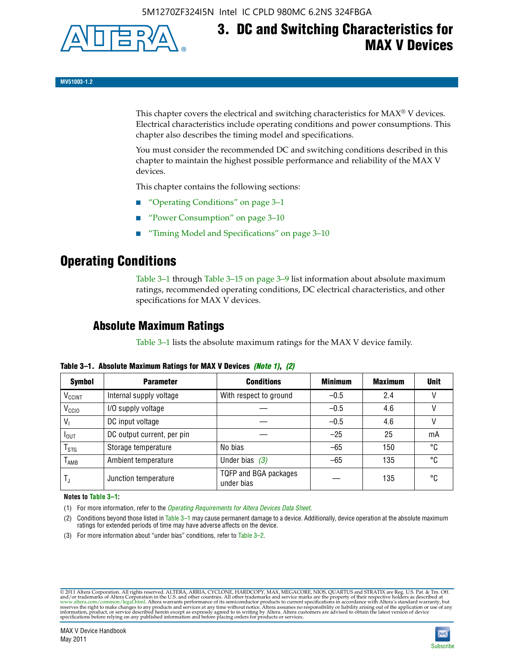

# **3. DC and Switching Characteristics for MAX V Devices**

**MV51003-1.2**

This chapter covers the electrical and switching characteristics for  $MAX^{\circ}$  V devices. Electrical characteristics include operating conditions and power consumptions. This chapter also describes the timing model and specifications.

You must consider the recommended DC and switching conditions described in this chapter to maintain the highest possible performance and reliability of the MAX V devices.

This chapter contains the following sections:

- "Operating Conditions" on page 3–1
- "Power Consumption" on page 3–10
- "Timing Model and Specifications" on page 3–10

### **Operating Conditions**

Table 3–1 through Table 3–15 on page 3–9 list information about absolute maximum ratings, recommended operating conditions, DC electrical characteristics, and other specifications for MAX V devices.

### **Absolute Maximum Ratings**

Table 3–1 lists the absolute maximum ratings for the MAX V device family.

| <b>Symbol</b>               | <b>Parameter</b>           | <b>Conditions</b>                   | <b>Minimum</b> | <b>Maximum</b> | <b>Unit</b> |
|-----------------------------|----------------------------|-------------------------------------|----------------|----------------|-------------|
| V <sub>CCINT</sub>          | Internal supply voltage    | With respect to ground              | $-0.5$         | 2.4            |             |
| V <sub>CCIO</sub>           | I/O supply voltage         |                                     | $-0.5$         | 4.6            |             |
| $V_1$                       | DC input voltage           |                                     | $-0.5$         | 4.6            |             |
| $I_{\text{OUT}}$            | DC output current, per pin |                                     | $-25$          | 25             | mA          |
| $\mathsf{T}_{\textsf{STG}}$ | Storage temperature        | No bias                             | $-65$          | 150            | °C          |
| $T_{AMB}$                   | Ambient temperature        | Under bias $(3)$                    | $-65$          | 135            | °C          |
| $T_{\text{J}}$              | Junction temperature       | TQFP and BGA packages<br>under bias |                | 135            | ۰c          |

**Table 3–1. Absolute Maximum Ratings for MAX V Devices** *(Note 1)***,** *(2)*

**Notes to Table 3–1:**

(1) For more information, refer to the *[Operating Requirements for Altera Devices Data Sheet](http://www.altera.com/literature/ds/dsoprq.pdf)*.

(2) Conditions beyond those listed in Table 3–1 may cause permanent damage to a device. Additionally, device operation at the absolute maximum ratings for extended periods of time may have adverse affects on the device.

(3) For more information about "under bias" conditions, refer to Table 3–2.

@2011 Altera Corporation. All rights reserved. ALTERA, ARRIA, CYCLONE, HARDCOPY, MAX, MEGACORE, NIOS, QUARTUS and STRATIX are Reg. U.S. Pat. & Tm. Off. [and/or trademarks of Altera Corporat](http://www.altera.com/common/legal.html)ion in the U.S. and other countrie

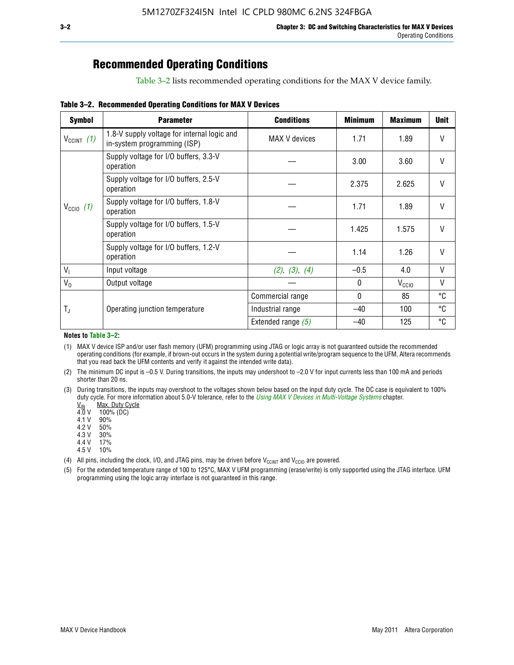## **Recommended Operating Conditions**

Table 3–2 lists recommended operating conditions for the MAX V device family.

**Table 3–2. Recommended Operating Conditions for MAX V Devices**

| <b>Symbol</b>        | <b>Parameter</b>                                                           | <b>Conditions</b>    | <b>Minimum</b> | <b>Maximum</b>    | <b>Unit</b>  |
|----------------------|----------------------------------------------------------------------------|----------------------|----------------|-------------------|--------------|
| $V_{CClNT}$ (1)      | 1.8-V supply voltage for internal logic and<br>in-system programming (ISP) | MAX V devices        | 1.71           | 1.89              | V            |
|                      | Supply voltage for I/O buffers, 3.3-V<br>operation                         |                      | 3.00           | 3.60              | $\mathsf{V}$ |
|                      | Supply voltage for I/O buffers, 2.5-V<br>operation                         |                      | 2.375          | 2.625             | $\mathsf{V}$ |
| $V_{\text{CCIO}}(1)$ | Supply voltage for I/O buffers, 1.8-V<br>operation                         |                      | 1.71           | 1.89              | $\mathsf{V}$ |
|                      | Supply voltage for I/O buffers, 1.5-V<br>operation                         |                      | 1.425          | 1.575             | V            |
|                      | Supply voltage for I/O buffers, 1.2-V<br>operation                         |                      | 1.14           | 1.26              | V            |
| $V_{1}$              | Input voltage                                                              | (2), (3), (4)        | $-0.5$         | 4.0               | V            |
| $V_0$                | Output voltage                                                             |                      | 0              | V <sub>CCIO</sub> | V            |
|                      |                                                                            | Commercial range     | 0              | 85                | °C           |
| T,                   | Operating junction temperature                                             | Industrial range     | $-40$          | 100               | °C           |
|                      |                                                                            | Extended range $(5)$ | $-40$          | 125               | °C           |

#### **Notes to Table 3–2:**

(1) MAX V device ISP and/or user flash memory (UFM) programming using JTAG or logic array is not guaranteed outside the recommended operating conditions (for example, if brown-out occurs in the system during a potential write/program sequence to the UFM, Altera recommends that you read back the UFM contents and verify it against the intended write data).

(2) The minimum DC input is –0.5 V. During transitions, the inputs may undershoot to –2.0 V for input currents less than 100 mA and periods shorter than 20 ns.

(3) During transitions, the inputs may overshoot to the voltages shown below based on the input duty cycle. The DC case is equivalent to 100% duty cycle. For more information about 5.0-V tolerance, refer to the *Using MAX V Devices in Multi-Voltage Systems* chapter.<br>
<u>V<sub>IN</sub> Max. Duty Cycle</u><br>
4.0 V 100% (DC)

Max. Duty Cycle

 $100\%$  (DC)<br>90%

 $4.1 V$ 

4.2 V 50%

4.3 V 30%<br>4.4 V 17%

4.4 V 4.5 V 10%

(4) All pins, including the clock, I/O, and JTAG pins, may be driven before  $V_{C C I N T}$  and  $V_{C C I O}$  are powered.

(5) For the extended temperature range of 100 to 125°C, MAX V UFM programming (erase/write) is only supported using the JTAG interface. UFM programming using the logic array interface is not guaranteed in this range.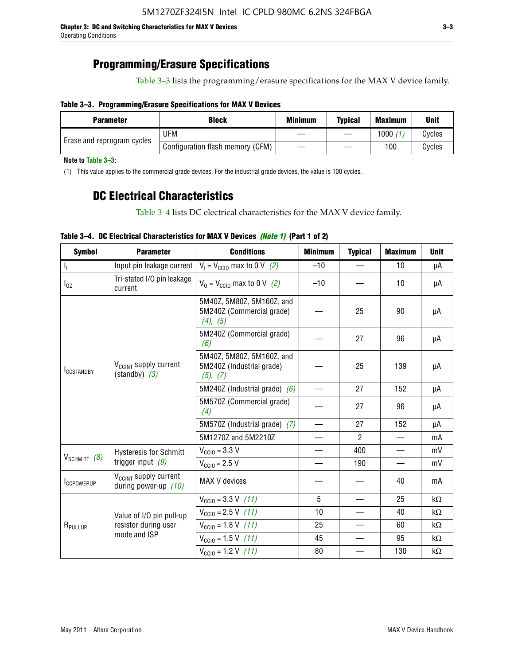### **Programming/Erasure Specifications**

Table 3–3 lists the programming/erasure specifications for the MAX V device family.

### **Table 3–3. Programming/Erasure Specifications for MAX V Devices**

| <b>Block</b><br><b>Parameter</b> |                                  | <b>Minimum</b> | <b>Typical</b> | <b>Maximum</b> | <b>Unit</b> |
|----------------------------------|----------------------------------|----------------|----------------|----------------|-------------|
| Erase and reprogram cycles       | UFM                              |                |                | 1000           | Cycles      |
|                                  | Configuration flash memory (CFM) |                |                | 100            | Cvcles      |

**Note to Table 3–3:**

(1) This value applies to the commercial grade devices. For the industrial grade devices, the value is 100 cycles.

### **DC Electrical Characteristics**

Table 3–4 lists DC electrical characteristics for the MAX V device family.

| <b>Symbol</b>       | <b>Parameter</b>                                            | <b>Conditions</b>                                                  | <b>Minimum</b>           | <b>Typical</b> | <b>Maximum</b>           | <b>Unit</b> |
|---------------------|-------------------------------------------------------------|--------------------------------------------------------------------|--------------------------|----------------|--------------------------|-------------|
| $\mathbf{l}_1$      | Input pin leakage current                                   | $V_1 = V_{\text{CC10}}$ max to 0 V (2)                             | $-10$                    |                | 10                       | μA          |
| $I_{0Z}$            | Tri-stated I/O pin leakage<br>current                       | $V_0 = V_{\text{CC10}}$ max to 0 V (2)                             | $-10$                    |                | 10                       | μA          |
| <b>ICCSTANDBY</b>   |                                                             | 5M40Z, 5M80Z, 5M160Z, and<br>5M240Z (Commercial grade)<br>(4), (5) |                          | 25             | 90                       | μA          |
|                     |                                                             | 5M240Z (Commercial grade)<br>(6)                                   |                          | 27             | 96                       | μA          |
|                     | V <sub>CCINT</sub> supply current<br>$(statably)$ (3)       | 5M40Z, 5M80Z, 5M160Z, and<br>5M240Z (Industrial grade)<br>(5), (7) |                          | 25             | 139                      | μA          |
|                     |                                                             | 5M240Z (Industrial grade) $(6)$                                    |                          | 27             | 152                      | μA          |
|                     |                                                             | 5M570Z (Commercial grade)<br>(4)                                   |                          | 27             | 96                       | μA          |
|                     |                                                             | 5M570Z (Industrial grade) (7)                                      |                          | 27             | 152                      | μA          |
|                     |                                                             | 5M1270Z and 5M2210Z                                                |                          | $\mathcal{P}$  |                          | mA          |
|                     | <b>Hysteresis for Schmitt</b>                               | $V_{\text{CC10}} = 3.3 \text{ V}$                                  |                          | 400            |                          | mV          |
| $V_{SCHMIT}$ (8)    | trigger input $(9)$                                         | $V_{\text{CC10}} = 2.5 V$                                          | $\overline{\phantom{0}}$ | 190            | $\overline{\phantom{0}}$ | mV          |
| <b>ICCPOWERUP</b>   | V <sub>CCINT</sub> supply current<br>during power-up $(10)$ | MAX V devices                                                      |                          |                | 40                       | mA          |
|                     |                                                             | $V_{\text{CC10}} = 3.3 \text{ V}$ (11)                             | 5                        |                | 25                       | $k\Omega$   |
|                     | Value of I/O pin pull-up                                    | $V_{\text{CC10}} = 2.5 \text{ V} (11)$                             | 10                       |                | 40                       | $k\Omega$   |
| R <sub>PULLUP</sub> | resistor during user                                        | $V_{\text{CCIO}} = 1.8 \text{ V} (11)$                             | 25                       |                | 60                       | $k\Omega$   |
|                     | mode and ISP                                                | $V_{\text{CC10}} = 1.5 \text{ V}$ (11)                             | 45                       |                | 95                       | kΩ          |
|                     |                                                             | $V_{\text{CC10}} = 1.2 \text{ V}$ (11)                             | 80                       |                | 130                      | kΩ          |

### **Table 3–4. DC Electrical Characteristics for MAX V Devices** *(Note 1)* **(Part 1 of 2)**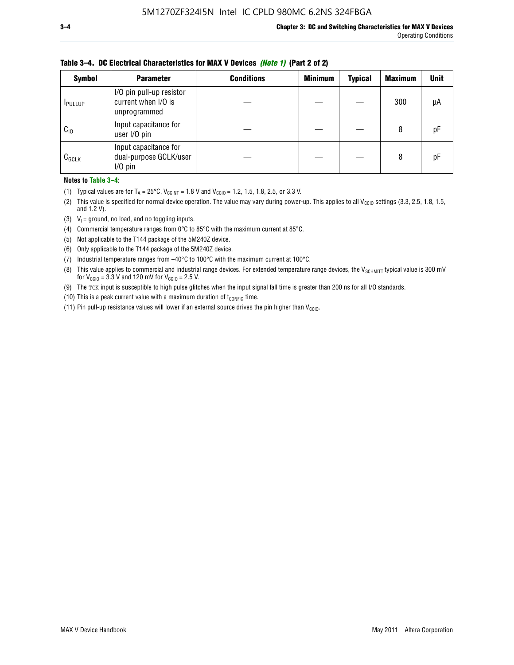| <b>Symbol</b>   | <b>Parameter</b>                                                | <b>Conditions</b> | <b>Minimum</b> | <b>Typical</b> | <b>Maximum</b> | <b>Unit</b> |
|-----------------|-----------------------------------------------------------------|-------------------|----------------|----------------|----------------|-------------|
| <b>I</b> PULLUP | I/O pin pull-up resistor<br>current when I/O is<br>unprogrammed |                   |                |                | 300            | μA          |
| $C_{10}$        | Input capacitance for<br>user I/O pin                           |                   |                |                | 8              | рF          |
| $C_{GCLK}$      | Input capacitance for<br>dual-purpose GCLK/user<br>$I/O$ pin    |                   |                |                | 8              | рF          |

**Table 3–4. DC Electrical Characteristics for MAX V Devices** *(Note 1)* **(Part 2 of 2)**

**Notes to Table 3–4:**

- (1) Typical values are for  $T_A = 25^{\circ}\text{C}$ ,  $V_{\text{CCINT}} = 1.8 \text{ V}$  and  $V_{\text{CCIO}} = 1.2, 1.5, 1.8, 2.5,$  or 3.3 V.
- (2) This value is specified for normal device operation. The value may vary during power-up. This applies to all V<sub>CCIO</sub> settings (3.3, 2.5, 1.8, 1.5, and 1.2 V).
- (3)  $V_1$  = ground, no load, and no toggling inputs.
- (4) Commercial temperature ranges from 0°C to 85°C with the maximum current at 85°C.
- (5) Not applicable to the T144 package of the 5M240Z device.
- (6) Only applicable to the T144 package of the 5M240Z device.
- (7) Industrial temperature ranges from –40°C to 100°C with the maximum current at 100°C.
- (8) This value applies to commercial and industrial range devices. For extended temperature range devices, the  $V_{SCHMIT}$  typical value is 300 mV for  $V_{\text{CCIO}} = 3.3$  V and 120 mV for  $V_{\text{CCIO}} = 2.5$  V.
- (9) The TCK input is susceptible to high pulse glitches when the input signal fall time is greater than 200 ns for all I/O standards.
- (10) This is a peak current value with a maximum duration of  $t_{\text{CONFIG}}$  time.
- (11) Pin pull-up resistance values will lower if an external source drives the pin higher than  $V_{\text{CCIO}}$ .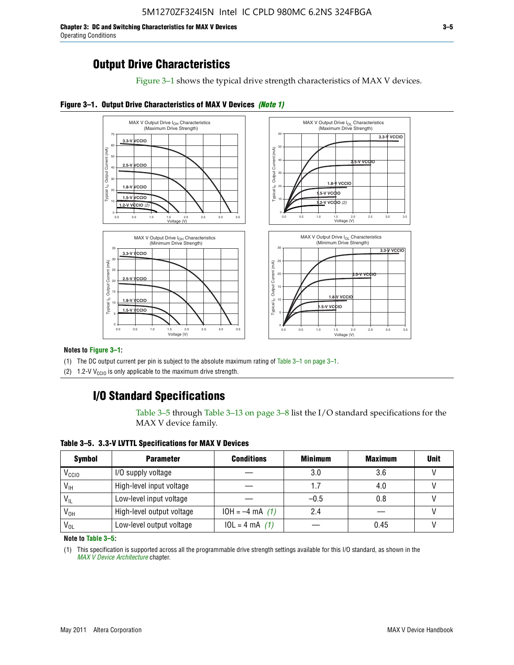**Chapter 3: DC and Switching Characteristics for MAX V Devices 3–5** Operating Conditions

### **Output Drive Characteristics**

Figure 3–1 shows the typical drive strength characteristics of MAX V devices.





#### **Notes to Figure 3–1:**

(1) The DC output current per pin is subject to the absolute maximum rating of Table 3–1 on page 3–1.

(2) 1.2-V V<sub>CCIO</sub> is only applicable to the maximum drive strength.

### **I/O Standard Specifications**

Table 3–5 through Table 3–13 on page 3–8 list the I/O standard specifications for the MAX V device family.

**Table 3–5. 3.3-V LVTTL Specifications for MAX V Devices**

| <b>Symbol</b>     | <b>Parameter</b>          | <b>Conditions</b> | <b>Minimum</b> | <b>Maximum</b> | <b>Unit</b> |
|-------------------|---------------------------|-------------------|----------------|----------------|-------------|
| V <sub>ccio</sub> | I/O supply voltage        |                   | 3.0            | 3.6            |             |
| $V_{\text{IH}}$   | High-level input voltage  |                   | 1.7            | 4.0            |             |
| $V_{IL}$          | Low-level input voltage   |                   | $-0.5$         | 0.8            |             |
| V <sub>он</sub>   | High-level output voltage | $10H = -4 mA$ (1) | 2.4            |                |             |
| $V_{OL}$          | Low-level output voltage  | $10L = 4 mA$ (1)  |                | 0.45           |             |

**Note to Table 3–5:**

(1) This specification is supported across all the programmable drive strength settings available for this I/O standard, as shown in the *[MAX V Device Architecture](http://www.altera.com/literature/hb/max-v/mv51002.pdf)* chapter.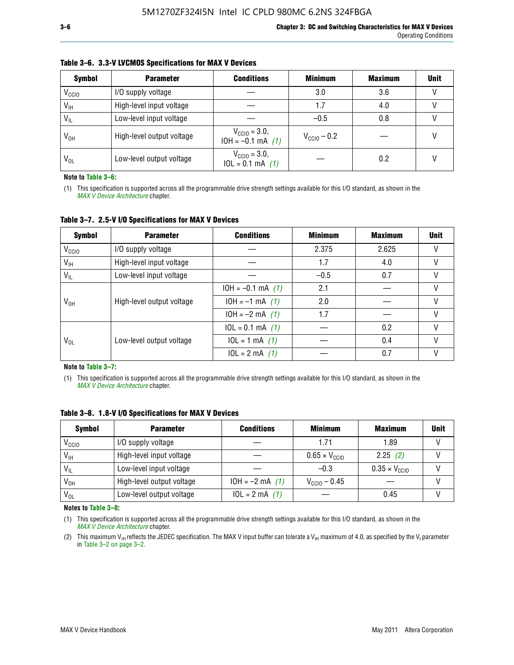| <b>Symbol</b>     | <b>Parameter</b>          | <b>Conditions</b>                                 | <b>Minimum</b>          | <b>Maximum</b> | <b>Unit</b> |
|-------------------|---------------------------|---------------------------------------------------|-------------------------|----------------|-------------|
| V <sub>CCIO</sub> | I/O supply voltage        |                                                   | 3.0                     | 3.6            |             |
| $V_{\text{IH}}$   | High-level input voltage  |                                                   | 1.7                     | 4.0            |             |
| $V_{IL}$          | Low-level input voltage   |                                                   | $-0.5$                  | 0.8            |             |
| $V_{OH}$          | High-level output voltage | $V_{\text{CGI0}} = 3.0,$<br>$10H = -0.1$ mA $(1)$ | $V_{\text{CCIO}} - 0.2$ |                |             |
| $V_{OL}$          | Low-level output voltage  | $V_{\text{CGI0}} = 3.0,$<br>$10L = 0.1$ mA $(1)$  |                         | 0.2            |             |

#### **Table 3–6. 3.3-V LVCMOS Specifications for MAX V Devices**

**Note to Table 3–6:**

(1) This specification is supported across all the programmable drive strength settings available for this I/O standard, as shown in the *[MAX V Device Architecture](http://www.altera.com/literature/hb/max-v/mv51002.pdf)* chapter.

**Table 3–7. 2.5-V I/O Specifications for MAX V Devices**

| <b>Symbol</b>     | <b>Parameter</b>          | <b>Conditions</b>     | <b>Minimum</b> | <b>Maximum</b> | <b>Unit</b> |
|-------------------|---------------------------|-----------------------|----------------|----------------|-------------|
| V <sub>CCIO</sub> | I/O supply voltage        |                       | 2.375          | 2.625          |             |
| $V_{\text{IH}}$   | High-level input voltage  |                       | 1.7            | 4.0            | V           |
| $V_{IL}$          | Low-level input voltage   |                       | $-0.5$         | 0.7            |             |
|                   | High-level output voltage | $10H = -0.1$ mA $(1)$ | 2.1            |                |             |
| V <sub>он</sub>   |                           | $10H = -1$ mA $(1)$   | 2.0            |                |             |
|                   |                           | $10H = -2 mA$ (1)     | 1.7            |                | V           |
|                   |                           | $10L = 0.1$ mA $(1)$  |                | 0.2            |             |
| V <sub>OL</sub>   | Low-level output voltage  | $10L = 1 mA$ (1)      |                | 0.4            |             |
|                   |                           | $10L = 2 mA$ (1)      |                | 0.7            |             |

**Note to Table 3–7:**

(1) This specification is supported across all the programmable drive strength settings available for this I/O standard, as shown in the *[MAX V Device Architecture](http://www.altera.com/literature/hb/max-v/mv51002.pdf)* chapter.

| <b>Symbol</b>     | <b>Parameter</b>          | <b>Conditions</b> | <b>Minimum</b>                | <b>Maximum</b>                | <b>Unit</b> |
|-------------------|---------------------------|-------------------|-------------------------------|-------------------------------|-------------|
| V <sub>ccio</sub> | I/O supply voltage        |                   | 1.71                          | 1.89                          |             |
| $V_{\text{IH}}$   | High-level input voltage  |                   | $0.65 \times V_{\text{CGI0}}$ | 2.25(2)                       |             |
| $V_{IL}$          | Low-level input voltage   |                   | $-0.3$                        | $0.35 \times V_{\text{CC10}}$ |             |
| V <sub>он</sub>   | High-level output voltage | $10H = -2 mA$ (1) | $V_{\text{CCI0}} - 0.45$      |                               |             |
| $V_{OL}$          | Low-level output voltage  | $10L = 2 mA$ (1)  |                               | 0.45                          |             |

**Table 3–8. 1.8-V I/O Specifications for MAX V Devices**

**Notes to Table 3–8:**

(1) This specification is supported across all the programmable drive strength settings available for this I/O standard, as shown in the *[MAX V Device Architecture](http://www.altera.com/literature/hb/max-v/mv51002.pdf)* chapter.

(2) This maximum V<sub>IH</sub> reflects the JEDEC specification. The MAX V input buffer can tolerate a V<sub>IH</sub> maximum of 4.0, as specified by the V<sub>I</sub> parameter in Table 3–2 on page 3–2.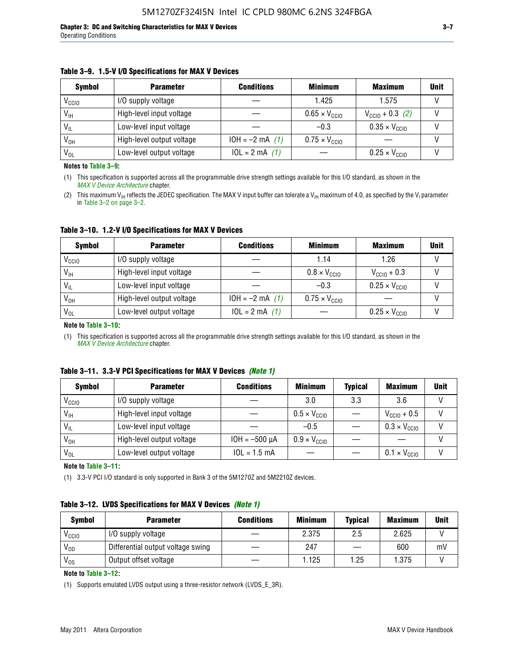#### **Table 3–9. 1.5-V I/O Specifications for MAX V Devices**

| <b>Symbol</b>     | <b>Parameter</b>          | <b>Conditions</b> | <b>Minimum</b>                | <b>Maximum</b>                | <b>Unit</b> |
|-------------------|---------------------------|-------------------|-------------------------------|-------------------------------|-------------|
| V <sub>CCIO</sub> | I/O supply voltage        |                   | 1.425                         | 1.575                         |             |
| $V_{IH}$          | High-level input voltage  |                   | $0.65 \times V_{\text{CC10}}$ | $V_{CGI0} + 0.3$ (2)          |             |
| $V_{IL}$          | Low-level input voltage   |                   | $-0.3$                        | $0.35 \times V_{\text{CC10}}$ |             |
| V <sub>OH</sub>   | High-level output voltage | $10H = -2 mA$ (1) | $0.75 \times V_{\text{CGI}0}$ |                               |             |
| $V_{OL}$          | Low-level output voltage  | $10L = 2 mA$ (1)  |                               | $0.25 \times V_{\text{CGI0}}$ |             |

**Notes to Table 3–9:**

(1) This specification is supported across all the programmable drive strength settings available for this I/O standard, as shown in the *[MAX V Device Architecture](http://www.altera.com/literature/hb/max-v/mv51002.pdf)* chapter.

(2) This maximum V<sub>IH</sub> reflects the JEDEC specification. The MAX V input buffer can tolerate a V<sub>IH</sub> maximum of 4.0, as specified by the V<sub>I</sub> parameter in Table 3–2 on page 3–2.

**Table 3–10. 1.2-V I/O Specifications for MAX V Devices**

| <b>Symbol</b>     | <b>Parameter</b>          | <b>Conditions</b> | <b>Minimum</b>               | <b>Maximum</b>                | <b>Unit</b> |
|-------------------|---------------------------|-------------------|------------------------------|-------------------------------|-------------|
| V <sub>CCIO</sub> | I/O supply voltage        |                   | 1.14                         | 1.26                          |             |
| $V_{IH}$          | High-level input voltage  |                   | $0.8 \times V_{\text{CCIO}}$ | $V_{\text{CC10}} + 0.3$       |             |
| $V_{IL}$          | Low-level input voltage   |                   | $-0.3$                       | $0.25 \times V_{\text{CCIO}}$ |             |
| V <sub>OH</sub>   | High-level output voltage | $10H = -2 mA$ (1) | $0.75 \times V_{\text{CCI}}$ |                               |             |
| $V_{OL}$          | Low-level output voltage  | $10L = 2 mA$ (1)  |                              | $0.25 \times V_{\text{CGI0}}$ |             |

#### **Note to Table 3–10:**

(1) This specification is supported across all the programmable drive strength settings available for this I/O standard, as shown in the *[MAX V Device Architecture](http://www.altera.com/literature/hb/max-v/mv51002.pdf)* chapter.

| Table 3–11. 3.3-V PCI Specifications for MAX V Devices (Note 1) |  |  |
|-----------------------------------------------------------------|--|--|
|-----------------------------------------------------------------|--|--|

| <b>Symbol</b>     | <b>Parameter</b>          | <b>Conditions</b>  | <b>Minimum</b>               | <b>Typical</b> | <b>Maximum</b>               | <b>Unit</b> |
|-------------------|---------------------------|--------------------|------------------------------|----------------|------------------------------|-------------|
| V <sub>CCIO</sub> | I/O supply voltage        |                    | 3.0                          | 3.3            | 3.6                          |             |
| $V_{\text{IH}}$   | High-level input voltage  |                    | $0.5 \times V_{\text{CCIO}}$ |                | $V_{\text{CC10}} + 0.5$      |             |
| $V_{IL}$          | Low-level input voltage   |                    | $-0.5$                       |                | $0.3 \times V_{\text{CC10}}$ |             |
| $V_{OH}$          | High-level output voltage | $10H = -500 \mu A$ | $0.9 \times V_{\text{CC10}}$ |                |                              |             |
| $V_{OL}$          | Low-level output voltage  | $10L = 1.5 mA$     |                              |                | $0.1 \times V_{\text{CC10}}$ |             |

**Note to Table 3–11:**

(1) 3.3-V PCI I/O standard is only supported in Bank 3 of the 5M1270Z and 5M2210Z devices.

#### **Table 3–12. LVDS Specifications for MAX V Devices** *(Note 1)*

| <b>Symbol</b> | <b>Parameter</b>                  | <b>Conditions</b> | <b>Minimum</b> | <b>Typical</b> | <b>Maximum</b> | Unit |
|---------------|-----------------------------------|-------------------|----------------|----------------|----------------|------|
| Vccio         | I/O supply voltage                |                   | 2.375          | 2.5            | 2.625          |      |
| $V_{OD}$      | Differential output voltage swing |                   | 247            |                | 600            | mV   |
| $V_{OS}$      | Output offset voltage             |                   | 1.125          | 1.25           | 1.375          |      |

**Note to Table 3–12:**

(1) Supports emulated LVDS output using a three-resistor network (LVDS\_E\_3R).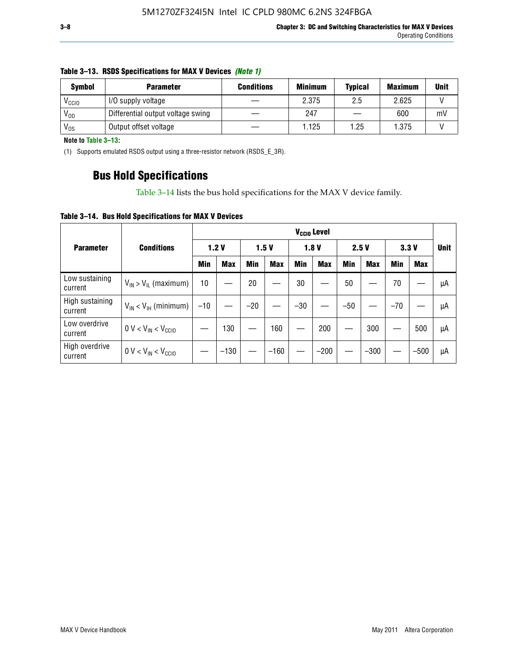| <b>Symbol</b>     | <b>Parameter</b>                  | <b>Conditions</b> | <b>Minimum</b> | <b>Typical</b> | <b>Maximum</b> | Unit |
|-------------------|-----------------------------------|-------------------|----------------|----------------|----------------|------|
| V <sub>CCIO</sub> | I/O supply voltage                |                   | 2.375          | 2.5            | 2.625          |      |
| $V_{OD}$          | Differential output voltage swing |                   | 247            |                | 600            | mV   |
| V <sub>os</sub>   | Output offset voltage             |                   | 1.125          | 1.25           | 1.375          |      |

#### **Table 3–13. RSDS Specifications for MAX V Devices** *(Note 1)*

**Note to Table 3–13:**

(1) Supports emulated RSDS output using a three-resistor network (RSDS\_E\_3R).

### **Bus Hold Specifications**

Table 3–14 lists the bus hold specifications for the MAX V device family.

**Table 3–14. Bus Hold Specifications for MAX V Devices**

|                            |                               | V <sub>ccio</sub> Level |            |       |            |            |            |       |            |            |            |             |
|----------------------------|-------------------------------|-------------------------|------------|-------|------------|------------|------------|-------|------------|------------|------------|-------------|
| <b>Parameter</b>           | <b>Conditions</b>             |                         | 1.2V       |       | 1.5V       |            | 1.8V       | 2.5V  |            | 3.3V       |            | <b>Unit</b> |
|                            |                               | Min                     | <b>Max</b> | Min   | <b>Max</b> | <b>Min</b> | <b>Max</b> | Min   | <b>Max</b> | <b>Min</b> | <b>Max</b> |             |
| Low sustaining<br>current  | $V_{IN}$ > $V_{IL}$ (maximum) | 10                      |            | 20    |            | 30         |            | 50    |            | 70         |            | μA          |
| High sustaining<br>current | $V_{IN}$ < $V_{IH}$ (minimum) | $-10$                   |            | $-20$ |            | $-30$      |            | $-50$ |            | $-70$      |            | μA          |
| Low overdrive<br>current   | $0 V < V_{IN} < V_{CC10}$     |                         | 130        |       | 160        |            | 200        |       | 300        |            | 500        | μA          |
| High overdrive<br>current  | $0 V < V_{IN} < V_{CC10}$     |                         | $-130$     |       | $-160$     |            | $-200$     |       | $-300$     |            | $-500$     | μA          |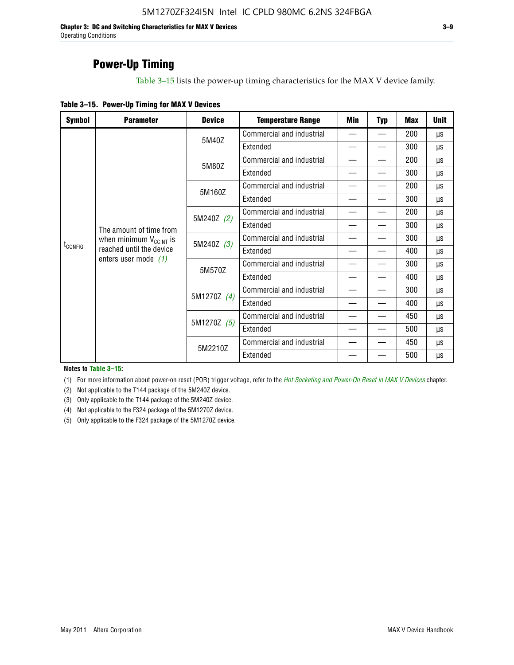**Chapter 3: DC and Switching Characteristics for MAX V Devices 3–9** Operating Conditions

### **Power-Up Timing**

Table 3–15 lists the power-up timing characteristics for the MAX V device family.

| <b>Symbol</b>           | <b>Parameter</b>             | <b>Device</b>             | <b>Temperature Range</b>  | Min | <b>Typ</b> | <b>Max</b> | <b>Unit</b> |
|-------------------------|------------------------------|---------------------------|---------------------------|-----|------------|------------|-------------|
|                         |                              | 5M40Z                     | Commercial and industrial | —   |            | 200        | μs          |
|                         |                              |                           | Extended                  |     |            | 300        | μs          |
|                         |                              | 5M80Z                     | Commercial and industrial |     |            | 200        | μs          |
|                         |                              |                           | Extended                  |     |            | 300        | μs          |
|                         |                              | 5M160Z                    | Commercial and industrial |     |            | 200        | μs          |
| The amount of time from |                              |                           | Extended                  |     |            | 300        | μs          |
|                         | 5M240Z (2)                   | Commercial and industrial |                           |     | 200        | μs         |             |
|                         |                              |                           | Extended                  |     |            | 300        | μs          |
|                         | when minimum $V_{C CINT}$ is | 5M240Z (3)                | Commercial and industrial |     |            | 300        | μs          |
| t <sub>config</sub>     | reached until the device     |                           | Extended                  |     |            | 400        | μs          |
|                         | enters user mode $(1)$       | 5M570Z                    | Commercial and industrial |     |            | 300        | <b>US</b>   |
|                         |                              |                           | Extended                  |     |            | 400        | μs          |
|                         |                              | 5M1270Z (4)               | Commercial and industrial |     |            | 300        | μs          |
|                         |                              |                           | Extended                  |     |            | 400        | μs          |
|                         |                              | 5M1270Z (5)               | Commercial and industrial |     |            | 450        | μs          |
|                         |                              |                           | Extended                  |     |            | 500        | μs          |
|                         |                              | 5M2210Z                   | Commercial and industrial |     |            | 450        | μs          |
|                         |                              |                           | Extended                  |     |            | 500        | μs          |

**Notes to Table 3–15:**

(1) For more information about power-on reset (POR) trigger voltage, refer to the *[Hot Socketing and Power-On Reset in MAX V Devices](http://www.altera.com/literature/hb/max-v/mv51004.pdf)* chapter.

(2) Not applicable to the T144 package of the 5M240Z device.

(3) Only applicable to the T144 package of the 5M240Z device.

(4) Not applicable to the F324 package of the 5M1270Z device.

(5) Only applicable to the F324 package of the 5M1270Z device.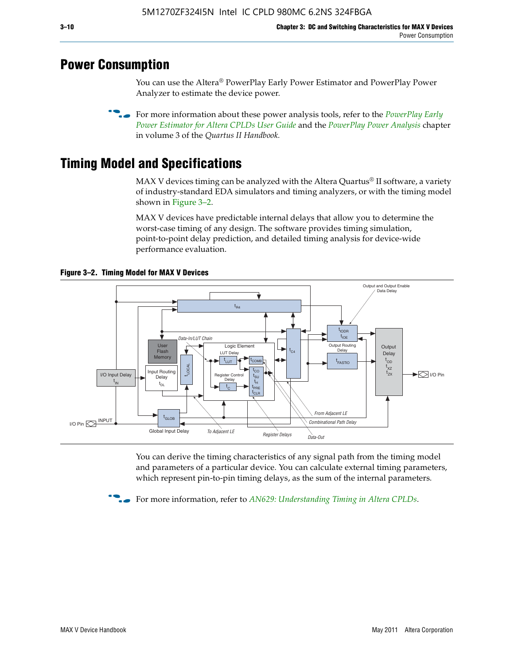### **Power Consumption**

You can use the Altera® PowerPlay Early Power Estimator and PowerPlay Power Analyzer to estimate the device power.

**For more information about these power analysis tools, refer to the** *PowerPlay Early**[Power Estimator for Altera CPLDs User Guide](http://www.altera.com/literature/ug/ug_epe_cpld.pdf)* and the *[PowerPlay Power Analysis](http://www.altera.com/literature/hb/qts/qts_qii53013.pdf)* chapter in volume 3 of the *Quartus II Handbook.*

# **Timing Model and Specifications**

MAX V devices timing can be analyzed with the Altera Quartus<sup>®</sup> II software, a variety of industry-standard EDA simulators and timing analyzers, or with the timing model shown in Figure 3–2.

MAX V devices have predictable internal delays that allow you to determine the worst-case timing of any design. The software provides timing simulation, point-to-point delay prediction, and detailed timing analysis for device-wide performance evaluation.



**Figure 3–2. Timing Model for MAX V Devices**

You can derive the timing characteristics of any signal path from the timing model and parameters of a particular device. You can calculate external timing parameters, which represent pin-to-pin timing delays, as the sum of the internal parameters.

**For more information, refer to** *[AN629: Understanding Timing in Altera CPLDs](http://www.altera.com/literature/an/an629.pdf)***.**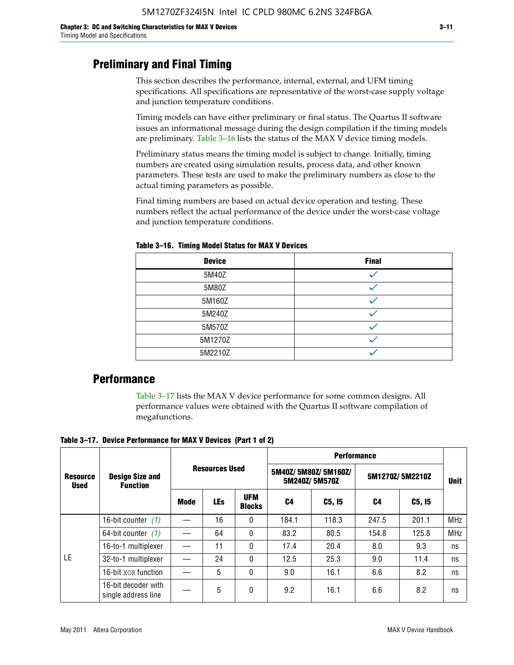### **Preliminary and Final Timing**

This section describes the performance, internal, external, and UFM timing specifications. All specifications are representative of the worst-case supply voltage and junction temperature conditions.

Timing models can have either preliminary or final status. The Quartus II software issues an informational message during the design compilation if the timing models are preliminary. Table 3–16 lists the status of the MAX V device timing models.

Preliminary status means the timing model is subject to change. Initially, timing numbers are created using simulation results, process data, and other known parameters. These tests are used to make the preliminary numbers as close to the actual timing parameters as possible.

Final timing numbers are based on actual device operation and testing. These numbers reflect the actual performance of the device under the worst-case voltage and junction temperature conditions.

| <b>Device</b> | <b>Final</b> |
|---------------|--------------|
| 5M40Z         |              |
| 5M80Z         |              |
| 5M160Z        |              |
| 5M240Z        |              |
| 5M570Z        |              |
| 5M1270Z       |              |
| 5M2210Z       |              |

**Table 3–16. Timing Model Status for MAX V Devices**

### **Performance**

Table 3–17 lists the MAX V device performance for some common designs. All performance values were obtained with the Quartus II software compilation of megafunctions.

**Table 3–17. Device Performance for MAX V Devices (Part 1 of 2)**

|                                | <b>Design Size and</b><br><b>Function</b>  |      |                       |                             | <b>Performance</b> |                                      |                 |             |            |  |  |
|--------------------------------|--------------------------------------------|------|-----------------------|-----------------------------|--------------------|--------------------------------------|-----------------|-------------|------------|--|--|
| <b>Resource</b><br><b>Used</b> |                                            |      | <b>Resources Used</b> |                             |                    | 5M40Z/5M80Z/5M160Z/<br>5M240Z/5M570Z | 5M1270Z/5M2210Z | <b>Unit</b> |            |  |  |
|                                |                                            | Mode | <b>LEs</b>            | <b>UFM</b><br><b>Blocks</b> | C4                 | C5, I5                               | C4              | C5, I5      |            |  |  |
|                                | 16-bit counter $(1)$                       |      | 16                    | 0                           | 184.1              | 118.3                                | 247.5           | 201.1       | <b>MHz</b> |  |  |
|                                | 64-bit counter $(1)$                       |      | 64                    | 0                           | 83.2               | 80.5                                 | 154.8           | 125.8       | <b>MHz</b> |  |  |
|                                | 16-to-1 multiplexer                        |      | 11                    | 0                           | 17.4               | 20.4                                 | 8.0             | 9.3         | ns         |  |  |
| LE                             | 32-to-1 multiplexer                        |      | 24                    | 0                           | 12.5               | 25.3                                 | 9.0             | 11.4        | ns         |  |  |
|                                | 16-bit XOR function                        |      | 5                     | 0                           | 9.0                | 16.1                                 | 6.6             | 8.2         | ns         |  |  |
|                                | 16-bit decoder with<br>single address line |      | 5                     | 0                           | 9.2                | 16.1                                 | 6.6             | 8.2         | ns         |  |  |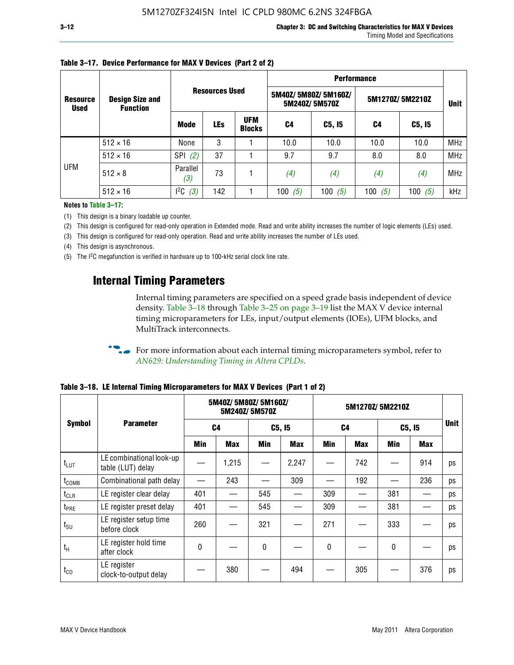| <b>Resource</b><br><b>Used</b> |                                           |                       |            |                             | <b>Performance</b> |                                      |                 |             |            |  |  |
|--------------------------------|-------------------------------------------|-----------------------|------------|-----------------------------|--------------------|--------------------------------------|-----------------|-------------|------------|--|--|
|                                | <b>Design Size and</b><br><b>Function</b> | <b>Resources Used</b> |            |                             |                    | 5M40Z/5M80Z/5M160Z/<br>5M240Z/5M570Z | 5M1270Z/5M2210Z | <b>Unit</b> |            |  |  |
|                                |                                           | Mode                  | <b>LEs</b> | <b>UFM</b><br><b>Blocks</b> | C4                 | C5, I5                               | C4              | C5, I5      |            |  |  |
|                                | $512 \times 16$                           | None                  | 3          |                             | 10.0               | 10.0                                 | 10.0            | 10.0        | <b>MHz</b> |  |  |
|                                | $512 \times 16$                           | <b>SPI</b><br>(2)     | 37         |                             | 9.7                | 9.7                                  | 8.0             | 8.0         | <b>MHz</b> |  |  |
| <b>UFM</b>                     | $512 \times 8$                            | Parallel<br>(3)       | 73         |                             | (4)                | (4)                                  | (4)             | (4)         | <b>MHz</b> |  |  |
|                                | $512 \times 16$                           | $l^2C$<br>(3)         | 142        |                             | (5)<br>100         | 100 $(5)$                            | 100<br>(5)      | 100 $(5)$   | kHz        |  |  |

### **Table 3–17. Device Performance for MAX V Devices (Part 2 of 2)**

**Notes to Table 3–17:**

(1) This design is a binary loadable up counter.

(2) This design is configured for read-only operation in Extended mode. Read and write ability increases the number of logic elements (LEs) used.

(3) This design is configured for read-only operation. Read and write ability increases the number of LEs used.

(4) This design is asynchronous.

(5) The I2C megafunction is verified in hardware up to 100-kHz serial clock line rate.

### **Internal Timing Parameters**

Internal timing parameters are specified on a speed grade basis independent of device density. Table 3–18 through Table 3–25 on page 3–19 list the MAX V device internal timing microparameters for LEs, input/output elements (IOEs), UFM blocks, and MultiTrack interconnects.

For more information about each internal timing microparameters symbol, refer to *[AN629: Understanding Timing in Altera CPLDs](http://www.altera.com/literature/an/an629.pdf)*.

|                   |                                               | 5M40Z/ 5M80Z/ 5M160Z/<br>5M240Z/5M570Z |            |              |            | 5M1270Z/5M2210Z |            |              |            |             |
|-------------------|-----------------------------------------------|----------------------------------------|------------|--------------|------------|-----------------|------------|--------------|------------|-------------|
| <b>Symbol</b>     | <b>Parameter</b>                              |                                        | C4         |              | C5, I5     |                 | C4         | C5, I5       |            | <b>Unit</b> |
|                   |                                               | Min                                    | <b>Max</b> | Min          | <b>Max</b> | Min             | <b>Max</b> | Min          | <b>Max</b> |             |
| $t_{LUT}$         | LE combinational look-up<br>table (LUT) delay |                                        | 1,215      |              | 2,247      |                 | 742        |              | 914        | ps          |
| t <sub>comb</sub> | Combinational path delay                      |                                        | 243        |              | 309        |                 | 192        |              | 236        | ps          |
| $t_{CLR}$         | LE register clear delay                       | 401                                    |            | 545          |            | 309             |            | 381          |            | ps          |
| t <sub>PRE</sub>  | LE register preset delay                      | 401                                    |            | 545          |            | 309             |            | 381          |            | ps          |
| $t_{\text{SU}}$   | LE register setup time<br>before clock        | 260                                    |            | 321          |            | 271             |            | 333          |            | ps          |
| $t_{H}$           | LE register hold time<br>after clock          | 0                                      |            | $\mathbf{0}$ |            | 0               |            | $\mathbf{0}$ |            | ps          |
| $t_{\rm CO}$      | LE register<br>clock-to-output delay          |                                        | 380        |              | 494        |                 | 305        |              | 376        | ps          |

**Table 3–18. LE Internal Timing Microparameters for MAX V Devices (Part 1 of 2)**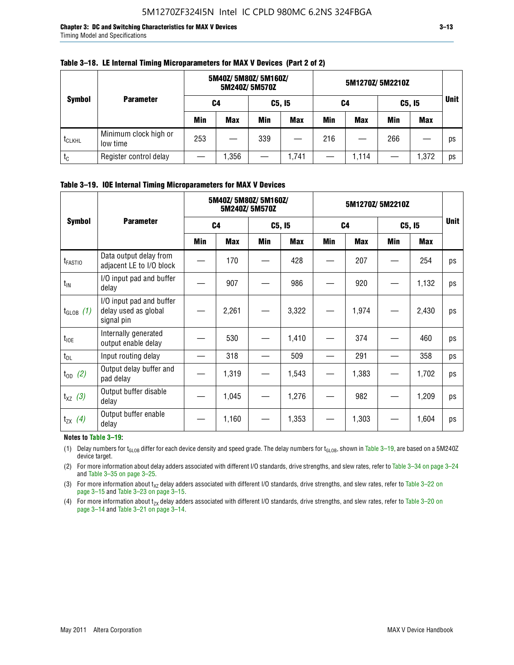**Chapter 3: DC and Switching Characteristics for MAX V Devices 3–13** Timing Model and Specifications

| <b>Symbol</b>      | <b>Parameter</b>                  | 5M40Z/ 5M80Z/ 5M160Z/<br>5M240Z/5M570Z |            |            |            | 5M1270Z/5M2210Z |            |            |            |             |
|--------------------|-----------------------------------|----------------------------------------|------------|------------|------------|-----------------|------------|------------|------------|-------------|
|                    |                                   | C4                                     |            | C5, I5     |            | C4              |            | C5, I5     |            | <b>Unit</b> |
|                    |                                   | <b>Min</b>                             | <b>Max</b> | <b>Min</b> | <b>Max</b> | <b>Min</b>      | <b>Max</b> | <b>Min</b> | <b>Max</b> |             |
| t <sub>CLKHL</sub> | Minimum clock high or<br>low time | 253                                    |            | 339        |            | 216             |            | 266        |            | ps          |
| $t_c$              | Register control delay            |                                        | .356,      |            | 1,741      |                 | 1.114      |            | 1,372      | ps          |

#### **Table 3–18. LE Internal Timing Microparameters for MAX V Devices (Part 2 of 2)**

#### **Table 3–19. IOE Internal Timing Microparameters for MAX V Devices**

|                     | <b>Parameter</b>                                               |                | 5M40Z/ 5M80Z/ 5M160Z/ | 5M240Z/5M570Z |            | 5M1270Z/5M2210Z |            |            |            |             |
|---------------------|----------------------------------------------------------------|----------------|-----------------------|---------------|------------|-----------------|------------|------------|------------|-------------|
| <b>Symbol</b>       |                                                                | C <sub>4</sub> |                       | C5, I5        |            | C <sub>4</sub>  |            | C5, I5     |            | <b>Unit</b> |
|                     |                                                                | <b>Min</b>     | <b>Max</b>            | <b>Min</b>    | <b>Max</b> | <b>Min</b>      | <b>Max</b> | <b>Min</b> | <b>Max</b> |             |
| t <sub>FASTIO</sub> | Data output delay from<br>adjacent LE to I/O block             |                | 170                   |               | 428        |                 | 207        |            | 254        | ps          |
| $t_{IN}$            | I/O input pad and buffer<br>delay                              |                | 907                   |               | 986        |                 | 920        |            | 1,132      | ps          |
| $t_{GLOB}$ (1)      | I/O input pad and buffer<br>delay used as global<br>signal pin |                | 2,261                 |               | 3,322      |                 | 1,974      |            | 2,430      | ps          |
| $t_{\text{IOE}}$    | Internally generated<br>output enable delay                    |                | 530                   |               | 1,410      |                 | 374        |            | 460        | ps          |
| $t_{DL}$            | Input routing delay                                            |                | 318                   |               | 509        |                 | 291        |            | 358        | ps          |
| $t_{OD}$ (2)        | Output delay buffer and<br>pad delay                           |                | 1,319                 |               | 1,543      |                 | 1,383      |            | 1,702      | ps          |
| $t_{XZ}$ (3)        | Output buffer disable<br>delay                                 |                | 1,045                 |               | 1,276      |                 | 982        |            | 1,209      | ps          |
| $t_{ZX}$ (4)        | Output buffer enable<br>delay                                  |                | 1,160                 |               | 1,353      |                 | 1,303      |            | 1,604      | ps          |

#### **Notes to Table 3–19:**

(1) Delay numbers for t<sub>GLOB</sub> differ for each device density and speed grade. The delay numbers for t<sub>GLOB</sub>, shown in Table 3–19, are based on a 5M240Z device target.

(2) For more information about delay adders associated with different I/O standards, drive strengths, and slew rates, refer to Table 3–34 on page 3–24 and Table 3–35 on page 3–25.

(3) For more information about  $t_{XZ}$  delay adders associated with different I/O standards, drive strengths, and slew rates, refer to Table 3-22 on page 3–15 and Table 3–23 on page 3–15.

(4) For more information about t<sub>zx</sub> delay adders associated with different I/O standards, drive strengths, and slew rates, refer to Table 3–20 on<br>page 3–14 and Table 3–21 on page 3–14.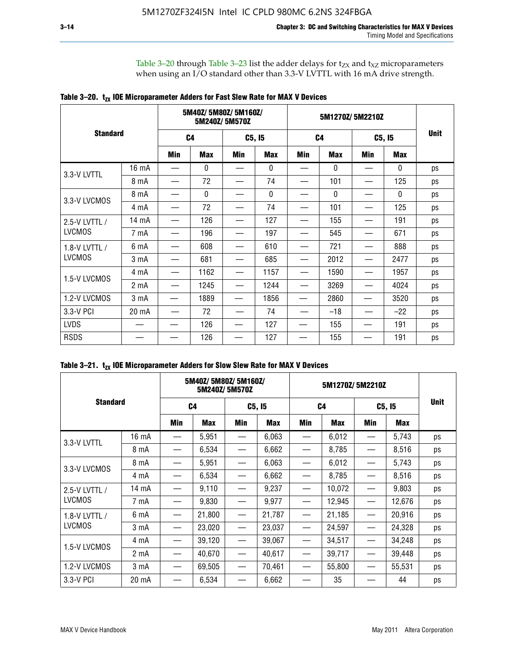Table 3–20 through Table 3–23 list the adder delays for  $t_{ZX}$  and  $t_{XZ}$  microparameters when using an I/O standard other than 3.3-V LVTTL with 16 mA drive strength.

|  |  |  | Table 3–20. $t_{zx}$ IOE Microparameter Adders for Fast Slew Rate for MAX V Devices |
|--|--|--|-------------------------------------------------------------------------------------|
|--|--|--|-------------------------------------------------------------------------------------|

|                 |                  |                | 5M40Z/5M80Z/5M160Z/ | 5M240Z/5M570Z |            |                | 5M1270Z/5M2210Z |        |              |             |
|-----------------|------------------|----------------|---------------------|---------------|------------|----------------|-----------------|--------|--------------|-------------|
| <b>Standard</b> |                  | C <sub>4</sub> |                     | C5, I5        |            | C <sub>4</sub> |                 | C5, I5 |              | <b>Unit</b> |
|                 |                  | Min            | <b>Max</b>          | Min           | <b>Max</b> | Min            | <b>Max</b>      | Min    | <b>Max</b>   |             |
| 3.3-V LVTTL     | 16 mA            |                | 0                   |               | 0          |                | $\mathbf{0}$    |        | 0            | ps          |
|                 | 8 mA             |                | 72                  |               | 74         |                | 101             |        | 125          | ps          |
| 3.3-V LVCMOS    | 8 mA             |                | $\mathbf{0}$        |               | 0          |                | $\mathbf{0}$    |        | $\mathbf{0}$ | ps          |
|                 | 4 mA             |                | 72                  |               | 74         |                | 101             |        | 125          | ps          |
| 2.5-V LVTTL /   | 14 mA            |                | 126                 |               | 127        |                | 155             |        | 191          | ps          |
| <b>LVCMOS</b>   | 7 mA             |                | 196                 |               | 197        |                | 545             |        | 671          | ps          |
| 1.8-V LVTTL /   | 6 mA             |                | 608                 |               | 610        |                | 721             |        | 888          | ps          |
| <b>LVCMOS</b>   | 3 mA             |                | 681                 |               | 685        |                | 2012            |        | 2477         | ps          |
| 1.5-V LVCMOS    | 4 mA             |                | 1162                |               | 1157       |                | 1590            |        | 1957         | ps          |
|                 | 2 mA             |                | 1245                |               | 1244       |                | 3269            |        | 4024         | ps          |
| 1.2-V LVCMOS    | 3 <sub>m</sub> A |                | 1889                |               | 1856       |                | 2860            |        | 3520         | ps          |
| 3.3-V PCI       | 20 mA            |                | 72                  |               | 74         |                | $-18$           |        | $-22$        | ps          |
| <b>LVDS</b>     |                  |                | 126                 |               | 127        |                | 155             |        | 191          | ps          |
| <b>RSDS</b>     |                  |                | 126                 |               | 127        |                | 155             |        | 191          | ps          |

| Table 3–21. $t_{zx}$ IOE Microparameter Adders for Slow Slew Rate for MAX V Devices |  |  |  |
|-------------------------------------------------------------------------------------|--|--|--|
|-------------------------------------------------------------------------------------|--|--|--|

|                 | 5M40Z/5M80Z/5M160Z/<br>5M240Z/5M570Z |                |            |                                 |        |                               |            |        |        |             |
|-----------------|--------------------------------------|----------------|------------|---------------------------------|--------|-------------------------------|------------|--------|--------|-------------|
| <b>Standard</b> |                                      | C <sub>4</sub> |            | C5, I5                          |        | C <sub>4</sub>                |            | C5, I5 |        | <b>Unit</b> |
|                 |                                      | Min            | <b>Max</b> | Min                             | Max    | <b>Min</b>                    | <b>Max</b> | Min    | Max    |             |
| 3.3-V LVTTL     | 16 mA                                |                | 5,951      |                                 | 6,063  |                               | 6,012      |        | 5,743  | ps          |
|                 | 8 mA                                 |                | 6,534      | $\hspace{0.1mm}-\hspace{0.1mm}$ | 6,662  | —                             | 8,785      |        | 8,516  | ps          |
| 3.3-V LVCMOS    | 8 mA                                 |                | 5,951      |                                 | 6,063  |                               | 6,012      |        | 5,743  | ps          |
|                 | 4 mA                                 |                | 6,534      |                                 | 6,662  |                               | 8,785      |        | 8,516  | ps          |
| 2.5-V LVTTL /   | $14 \text{ mA}$                      |                | 9,110      |                                 | 9,237  |                               | 10,072     |        | 9,803  | ps          |
| <b>LVCMOS</b>   | 7 mA                                 |                | 9,830      | —                               | 9,977  | —                             | 12,945     |        | 12,676 | ps          |
| 1.8-V LVTTL /   | 6 mA                                 |                | 21,800     |                                 | 21,787 |                               | 21,185     |        | 20,916 | ps          |
| <b>LVCMOS</b>   | 3 mA                                 |                | 23,020     | $\hspace{0.05cm}$               | 23,037 | $\overbrace{\phantom{12333}}$ | 24,597     |        | 24,328 | ps          |
| 1.5-V LVCMOS    | 4 mA                                 |                | 39,120     |                                 | 39,067 |                               | 34,517     |        | 34,248 | ps          |
|                 | 2 mA                                 |                | 40,670     |                                 | 40,617 |                               | 39,717     |        | 39,448 | ps          |
| 1.2-V LVCMOS    | 3 <sub>m</sub> A                     |                | 69,505     |                                 | 70,461 |                               | 55,800     |        | 55,531 | ps          |
| 3.3-V PCI       | 20 mA                                |                | 6,534      |                                 | 6,662  |                               | 35         |        | 44     | ps          |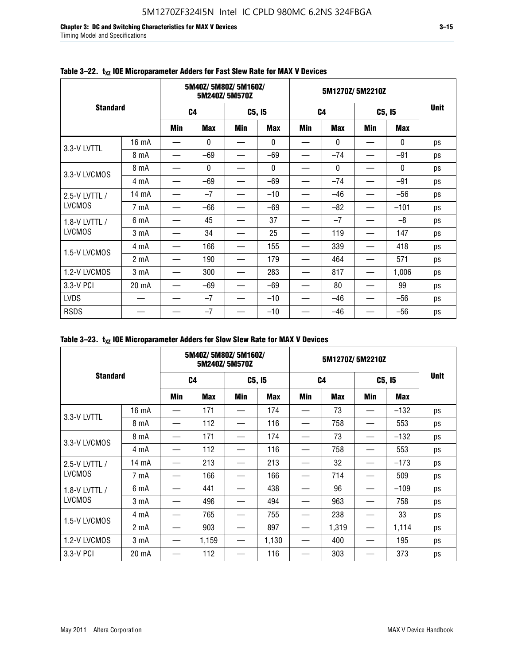**Chapter 3: DC and Switching Characteristics for MAX V Devices 3–15** Timing Model and Specifications

|                 |                  |                | 5M40Z/5M80Z/5M160Z/ | 5M240Z/5M570Z |              |                | 5M1270Z/5M2210Z |        |              |             |
|-----------------|------------------|----------------|---------------------|---------------|--------------|----------------|-----------------|--------|--------------|-------------|
| <b>Standard</b> |                  | C <sub>4</sub> |                     | C5, I5        |              | C <sub>4</sub> |                 | C5, I5 |              | <b>Unit</b> |
|                 |                  | <b>Min</b>     | <b>Max</b>          | Min           | <b>Max</b>   | <b>Min</b>     | <b>Max</b>      | Min    | <b>Max</b>   |             |
| 3.3-V LVTTL     | 16 mA            |                | $\mathbf{0}$        |               | $\mathbf{0}$ |                | $\mathbf{0}$    |        | 0            | ps          |
|                 | 8 mA             |                | $-69$               |               | $-69$        |                | $-74$           |        | $-91$        | ps          |
| 3.3-V LVCMOS    | 8 mA             |                | $\mathbf{0}$        |               | 0            |                | $\mathbf{0}$    |        | $\mathbf{0}$ | ps          |
|                 | 4 mA             |                | $-69$               |               | $-69$        |                | $-74$           |        | $-91$        | ps          |
| 2.5-V LVTTL /   | 14 mA            |                | $-7$                |               | $-10$        |                | $-46$           |        | $-56$        | ps          |
| <b>LVCMOS</b>   | 7 mA             |                | $-66$               |               | $-69$        |                | $-82$           |        | $-101$       | ps          |
| 1.8-V LVTTL /   | 6 mA             |                | 45                  |               | 37           |                | $-7$            |        | $-8$         | ps          |
| <b>LVCMOS</b>   | 3 mA             |                | 34                  |               | 25           |                | 119             |        | 147          | ps          |
| 1.5-V LVCMOS    | 4 mA             |                | 166                 |               | 155          |                | 339             |        | 418          | ps          |
|                 | 2 <sub>m</sub> A |                | 190                 |               | 179          |                | 464             |        | 571          | ps          |
| 1.2-V LVCMOS    | 3 mA             |                | 300                 |               | 283          |                | 817             |        | 1,006        | ps          |
| 3.3-V PCI       | 20 mA            |                | $-69$               |               | $-69$        |                | 80              |        | 99           | ps          |
| <b>LVDS</b>     |                  |                | $-7$                |               | $-10$        |                | $-46$           |        | $-56$        | ps          |
| <b>RSDS</b>     |                  |                | $-7$                |               | $-10$        |                | $-46$           |        | $-56$        | ps          |

### Table 3-22. t<sub>xz</sub> IOE Microparameter Adders for Fast Slew Rate for MAX V Devices

|  | Table 3–23. $t_{XZ}$ IOE Microparameter Adders for Slow Slew Rate for MAX V Devices |
|--|-------------------------------------------------------------------------------------|
|--|-------------------------------------------------------------------------------------|

|                 | 5M40Z/5M80Z/5M160Z/<br>5M240Z/5M570Z |                |            |                          |            | 5M1270Z/5M2210Z |            |        |            |             |
|-----------------|--------------------------------------|----------------|------------|--------------------------|------------|-----------------|------------|--------|------------|-------------|
| <b>Standard</b> |                                      | C <sub>4</sub> |            | C5, I5                   |            | C <sub>4</sub>  |            | C5, I5 |            | <b>Unit</b> |
|                 |                                      | Min            | <b>Max</b> | Min                      | <b>Max</b> | Min             | <b>Max</b> | Min    | <b>Max</b> |             |
| 3.3-V LVTTL     | 16 mA                                |                | 171        | $\overline{\phantom{0}}$ | 174        | —               | 73         |        | $-132$     | ps          |
|                 | 8 mA                                 |                | 112        |                          | 116        |                 | 758        |        | 553        | ps          |
| 3.3-V LVCMOS    | 8 mA                                 |                | 171        |                          | 174        |                 | 73         |        | $-132$     | ps          |
|                 | 4 mA                                 |                | 112        |                          | 116        |                 | 758        |        | 553        | ps          |
| 2.5-V LVTTL /   | 14 mA                                |                | 213        |                          | 213        |                 | 32         |        | $-173$     | ps          |
| <b>LVCMOS</b>   | 7 mA                                 |                | 166        |                          | 166        |                 | 714        |        | 509        | ps          |
| 1.8-V LVTTL /   | 6 mA                                 |                | 441        |                          | 438        |                 | 96         |        | $-109$     | ps          |
| <b>LVCMOS</b>   | 3 <sub>m</sub> A                     |                | 496        |                          | 494        |                 | 963        |        | 758        | ps          |
| 1.5-V LVCMOS    | 4 mA                                 |                | 765        |                          | 755        |                 | 238        |        | 33         | ps          |
|                 | 2 <sub>m</sub> A                     |                | 903        |                          | 897        |                 | 1,319      |        | 1,114      | ps          |
| 1.2-V LVCMOS    | 3 mA                                 |                | 1,159      | —                        | 1,130      | —               | 400        |        | 195        | ps          |
| 3.3-V PCI       | 20 mA                                |                | 112        |                          | 116        |                 | 303        |        | 373        | ps          |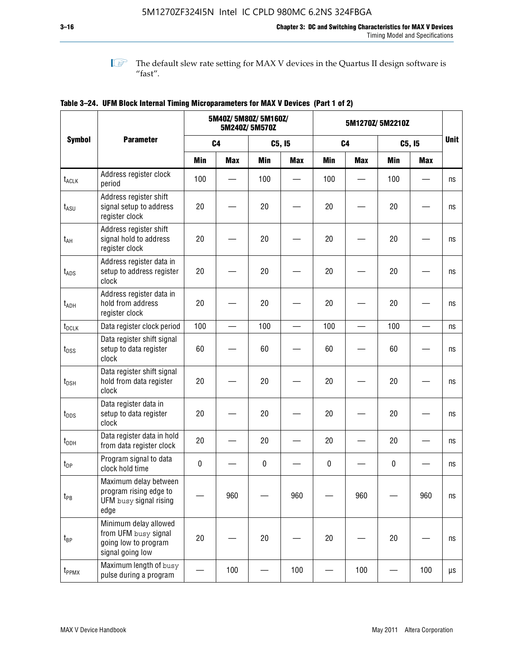$\mathbb{I}$  The default slew rate setting for MAX V devices in the Quartus II design software is  $^{\prime\prime}$  fast".

|                    |                                                                                           |                | 5M40Z/ 5M80Z/ 5M160Z/ | 5M240Z/5M570Z |            | 5M1270Z/5M2210Z |            |             |            |             |
|--------------------|-------------------------------------------------------------------------------------------|----------------|-----------------------|---------------|------------|-----------------|------------|-------------|------------|-------------|
| <b>Symbol</b>      | <b>Parameter</b>                                                                          | C <sub>4</sub> |                       | C5, I5        |            | C <sub>4</sub>  |            | C5, I5      |            | <b>Unit</b> |
|                    |                                                                                           | <b>Min</b>     | <b>Max</b>            | <b>Min</b>    | <b>Max</b> | <b>Min</b>      | <b>Max</b> | <b>Min</b>  | <b>Max</b> |             |
| t <sub>ACLK</sub>  | Address register clock<br>period                                                          | 100            |                       | 100           |            | 100             |            | 100         |            | ns          |
| $t_{ASU}$          | Address register shift<br>signal setup to address<br>register clock                       | 20             |                       | 20            |            | 20              |            | 20          |            | ns          |
| $t_{AH}$           | Address register shift<br>signal hold to address<br>register clock                        | 20             |                       | 20            |            | 20              |            | 20          |            | ns          |
| $t_{\mathsf{ADS}}$ | Address register data in<br>setup to address register<br>clock                            | 20             |                       | 20            |            | 20              |            | 20          |            | ns          |
| t <sub>ADH</sub>   | Address register data in<br>hold from address<br>register clock                           | 20             |                       | 20            |            | 20              |            | 20          |            | ns          |
| $t_{DCLK}$         | Data register clock period                                                                | 100            |                       | 100           |            | 100             |            | 100         |            | ns          |
| $t_{DSS}$          | Data register shift signal<br>setup to data register<br>clock                             | 60             |                       | 60            |            | 60              |            | 60          |            | ns          |
| $t_{DSH}$          | Data register shift signal<br>hold from data register<br>clock                            | 20             |                       | 20            |            | 20              |            | 20          |            | ns          |
| $t_{\text{DDS}}$   | Data register data in<br>setup to data register<br>clock                                  | 20             |                       | 20            |            | 20              |            | 20          |            | ns          |
| $t_{DDH}$          | Data register data in hold<br>from data register clock                                    | 20             |                       | 20            |            | 20              |            | 20          |            | ns          |
| $t_{DP}$           | Program signal to data<br>clock hold time                                                 | $\pmb{0}$      |                       | 0             |            | 0               |            | $\mathbf 0$ |            | ns          |
| $t_{PB}$           | Maximum delay between<br>program rising edge to<br>UFM busy signal rising<br>edge         |                | 960                   |               | 960        |                 | 960        |             | 960        | ns          |
| t <sub>BP</sub>    | Minimum delay allowed<br>from UFM busy signal<br>going low to program<br>signal going low | 20             |                       | 20            |            | 20              |            | 20          |            | ns          |
| t <sub>PPMX</sub>  | Maximum length of busy<br>pulse during a program                                          |                | 100                   |               | 100        |                 | 100        |             | 100        | μs          |

|  | Table 3–24. UFM Block Internal Timing Microparameters for MAX V Devices (Part 1 of 2) |  |  |  |  |
|--|---------------------------------------------------------------------------------------|--|--|--|--|
|--|---------------------------------------------------------------------------------------|--|--|--|--|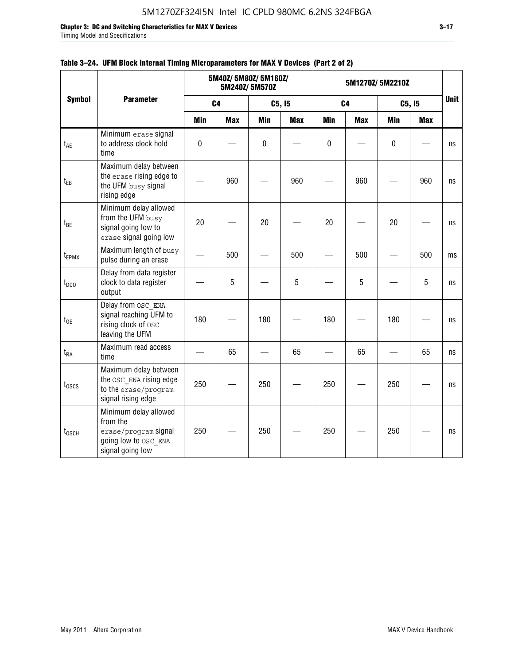**Chapter 3: DC and Switching Characteristics for MAX V Devices 3–17**

Timing Model and Specifications

|                   |                                                                                                       |                |            | 5M40Z/ 5M80Z/ 5M160Z/<br>5M240Z/5M570Z |            | 5M1270Z/5M2210Z |            |            |            |             |
|-------------------|-------------------------------------------------------------------------------------------------------|----------------|------------|----------------------------------------|------------|-----------------|------------|------------|------------|-------------|
| <b>Symbol</b>     | <b>Parameter</b>                                                                                      | C <sub>4</sub> |            | C5, I5                                 |            | C <sub>4</sub>  |            | C5, I5     |            | <b>Unit</b> |
|                   |                                                                                                       | <b>Min</b>     | <b>Max</b> | <b>Min</b>                             | <b>Max</b> | <b>Min</b>      | <b>Max</b> | <b>Min</b> | <b>Max</b> |             |
| $t_{AE}$          | Minimum erase signal<br>to address clock hold<br>time                                                 | $\pmb{0}$      |            | 0                                      |            | 0               |            | $\pmb{0}$  |            | ns          |
| $t_{EB}$          | Maximum delay between<br>the erase rising edge to<br>the UFM busy signal<br>rising edge               |                | 960        |                                        | 960        |                 | 960        |            | 960        | ns          |
| $t_{BE}$          | Minimum delay allowed<br>from the UFM busy<br>signal going low to<br>erase signal going low           | 20             |            | 20                                     |            | 20              |            | 20         |            | ns          |
| t <sub>EPMX</sub> | Maximum length of busy<br>pulse during an erase                                                       |                | 500        |                                        | 500        |                 | 500        |            | 500        | ms          |
| $t_{DCO}$         | Delay from data register<br>clock to data register<br>output                                          |                | 5          |                                        | 5          |                 | 5          |            | 5          | ns          |
| $t_{0E}$          | Delay from OSC ENA<br>signal reaching UFM to<br>rising clock of osc<br>leaving the UFM                | 180            |            | 180                                    |            | 180             |            | 180        |            | ns          |
| $t_{RA}$          | Maximum read access<br>time                                                                           |                | 65         |                                        | 65         |                 | 65         |            | 65         | ns          |
| $t_{\rm 0SCS}$    | Maximum delay between<br>the OSC ENA rising edge<br>to the erase/program<br>signal rising edge        | 250            |            | 250                                    |            | 250             |            | 250        |            | ns          |
| $t_{\text{OSCH}}$ | Minimum delay allowed<br>from the<br>erase/program signal<br>going low to OSC ENA<br>signal going low | 250            |            | 250                                    |            | 250             |            | 250        |            | ns          |

### **Table 3–24. UFM Block Internal Timing Microparameters for MAX V Devices (Part 2 of 2)**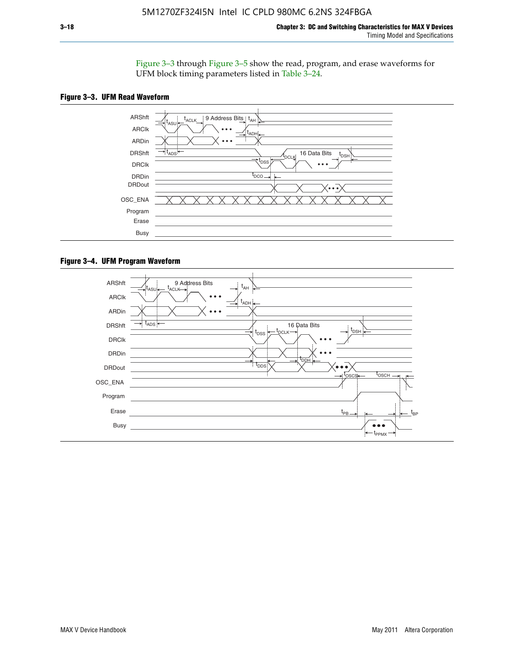Figure 3–3 through Figure 3–5 show the read, program, and erase waveforms for UFM block timing parameters listed in Table 3–24.





#### **Figure 3–4. UFM Program Waveform**

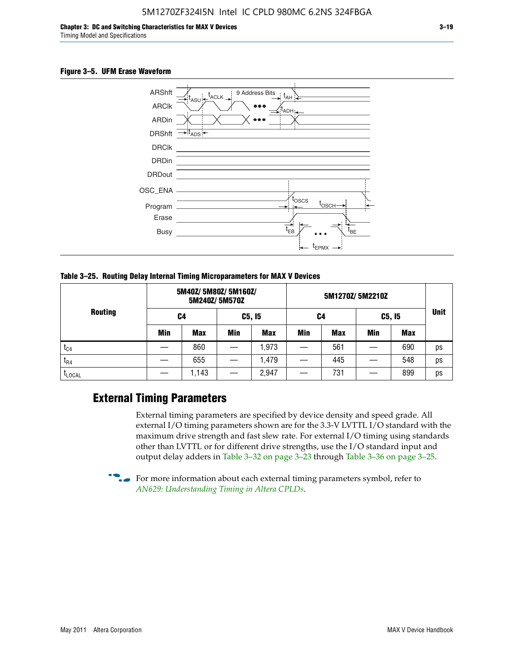#### **Figure 3–5. UFM Erase Waveform**



**Table 3–25. Routing Delay Internal Timing Microparameters for MAX V Devices**

|                |     | 5M40Z/ 5M80Z/ 5M160Z/ | 5M240Z/5M570Z |            |     |     |            |            |             |
|----------------|-----|-----------------------|---------------|------------|-----|-----|------------|------------|-------------|
| <b>Routing</b> | C4  |                       | C5, I5        |            | C4  |     | C5, I5     |            | <b>Unit</b> |
|                | Min | <b>Max</b>            | <b>Min</b>    | <b>Max</b> | Min | Max | <b>Min</b> | <b>Max</b> |             |
| $t_{C4}$       |     | 860                   |               | ,973       |     | 561 |            | 690        | ps          |
| $I_{R4}$       |     | 655                   |               | .479       |     | 445 |            | 548        | ps          |
| <b>LLOCAL</b>  |     | 1,143                 |               | 2,947      |     | 731 |            | 899        | ps          |

### **External Timing Parameters**

External timing parameters are specified by device density and speed grade. All external I/O timing parameters shown are for the 3.3-V LVTTL I/O standard with the maximum drive strength and fast slew rate. For external I/O timing using standards other than LVTTL or for different drive strengths, use the I/O standard input and output delay adders in Table 3–32 on page 3–23 through Table 3–36 on page 3–25.

 $\bullet$  For more information about each external timing parameters symbol, refer to *[AN629: Understanding Timing in Altera CPLDs](http://www.altera.com/literature/an/an629.pdf)*.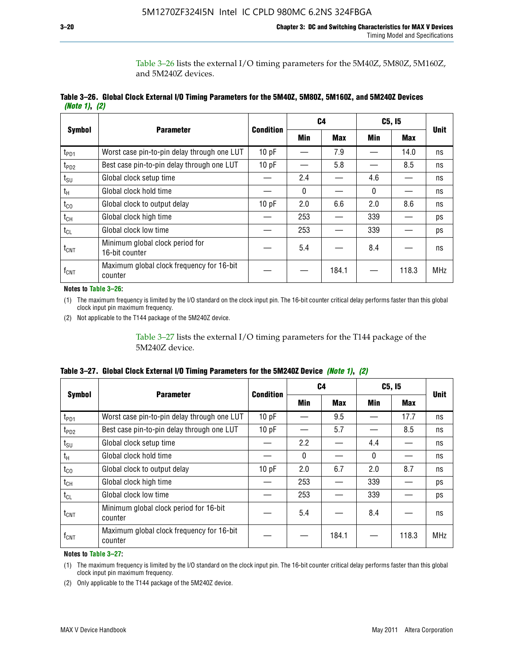Table 3–26 lists the external I/O timing parameters for the 5M40Z, 5M80Z, 5M160Z, and 5M240Z devices.

|               | Table 3–26. Global Clock External I/O Timing Parameters for the 5M40Z, 5M80Z, 5M160Z, and 5M240Z Devices |  |  |
|---------------|----------------------------------------------------------------------------------------------------------|--|--|
| (Note 1), (2) |                                                                                                          |  |  |

|                  |                                                      |                  |              | C <sub>4</sub> | C5, I5       | <b>Unit</b> |            |
|------------------|------------------------------------------------------|------------------|--------------|----------------|--------------|-------------|------------|
| <b>Symbol</b>    | <b>Parameter</b>                                     | <b>Condition</b> | Min          | <b>Max</b>     | Min          | <b>Max</b>  |            |
| t <sub>PD1</sub> | Worst case pin-to-pin delay through one LUT          | 10pF             |              | 7.9            |              | 14.0        | ns         |
| $t_{PD2}$        | Best case pin-to-pin delay through one LUT           | 10pF             |              | 5.8            |              | 8.5         | ns         |
| $t_{\text{SU}}$  | Global clock setup time                              |                  | 2.4          |                | 4.6          |             | ns         |
| $t_{H}$          | Global clock hold time                               |                  | $\mathbf{0}$ |                | $\mathbf{0}$ |             | ns         |
| $t_{CO}$         | Global clock to output delay                         | 10pF             | 2.0          | 6.6            | 2.0          | 8.6         | ns         |
| $t_{CH}$         | Global clock high time                               |                  | 253          |                | 339          |             | ps         |
| $t_{CL}$         | Global clock low time                                |                  | 253          |                | 339          |             | ps         |
| $t_{\text{CNT}}$ | Minimum global clock period for<br>16-bit counter    |                  | 5.4          |                | 8.4          |             | ns         |
| $f_{\text{CNT}}$ | Maximum global clock frequency for 16-bit<br>counter |                  |              | 184.1          |              | 118.3       | <b>MHz</b> |

**Notes to Table 3–26:**

(1) The maximum frequency is limited by the I/O standard on the clock input pin. The 16-bit counter critical delay performs faster than this global clock input pin maximum frequency.

(2) Not applicable to the T144 package of the 5M240Z device.

Table 3–27 lists the external I/O timing parameters for the T144 package of the 5M240Z device.

|  | Table 3–27. Global Clock External I/O Timing Parameters for the 5M240Z Device <i>(Note 1), (2)</i> |  |  |  |  |
|--|----------------------------------------------------------------------------------------------------|--|--|--|--|
|--|----------------------------------------------------------------------------------------------------|--|--|--|--|

|                    |                                                      | <b>Condition</b> |          | C <sub>4</sub> |          | C5, I5     | <b>Unit</b> |  |
|--------------------|------------------------------------------------------|------------------|----------|----------------|----------|------------|-------------|--|
| <b>Symbol</b>      | <b>Parameter</b>                                     |                  | Min      | <b>Max</b>     | Min      | <b>Max</b> |             |  |
| t <sub>PD1</sub>   | Worst case pin-to-pin delay through one LUT          | 10 pF            |          | 9.5            |          | 17.7       | ns          |  |
| t <sub>PD2</sub>   | Best case pin-to-pin delay through one LUT           | 10pF             |          | 5.7            |          | 8.5        | ns          |  |
| $t_{\text{SU}}$    | Global clock setup time                              |                  | 2.2      |                | 4.4      |            | ns          |  |
| $t_{\rm H}$        | Global clock hold time                               |                  | $\Omega$ |                | $\Omega$ |            | ns          |  |
| $t_{CO}$           | Global clock to output delay                         | 10pF             | 2.0      | 6.7            | 2.0      | 8.7        | ns          |  |
| t <sub>CH</sub>    | Global clock high time                               |                  | 253      |                | 339      |            | ps          |  |
| $t_{CL}$           | Global clock low time                                |                  | 253      |                | 339      |            | ps          |  |
| $t_{\text{CNT}}$   | Minimum global clock period for 16-bit<br>counter    |                  | 5.4      |                | 8.4      |            | ns          |  |
| $f_{\mathsf{CNT}}$ | Maximum global clock frequency for 16-bit<br>counter |                  |          | 184.1          |          | 118.3      | <b>MHz</b>  |  |

**Notes to Table 3–27:**

(1) The maximum frequency is limited by the I/O standard on the clock input pin. The 16-bit counter critical delay performs faster than this global clock input pin maximum frequency.

(2) Only applicable to the T144 package of the 5M240Z device.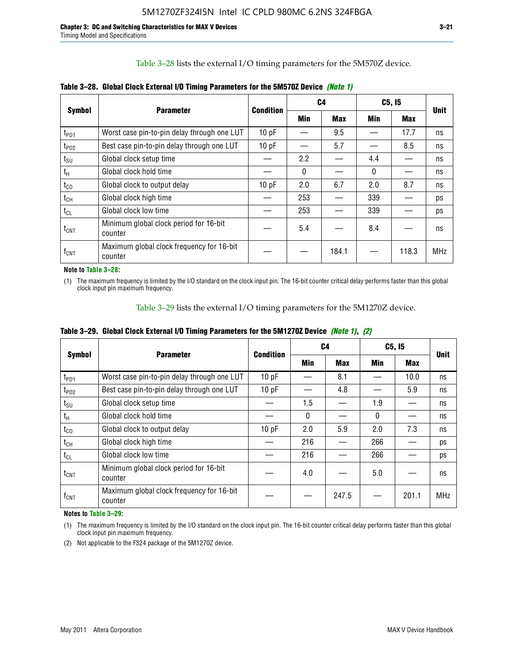Table 3–28 lists the external I/O timing parameters for the 5M570Z device.

|                    | <b>Parameter</b>                                     | <b>Condition</b> |              | C4         |              | C5, I5     | <b>Unit</b> |
|--------------------|------------------------------------------------------|------------------|--------------|------------|--------------|------------|-------------|
| <b>Symbol</b>      |                                                      |                  | <b>Min</b>   | <b>Max</b> | Min          | <b>Max</b> |             |
| t <sub>PD1</sub>   | Worst case pin-to-pin delay through one LUT          | 10 pF            |              | 9.5        |              | 17.7       | ns          |
| $t_{PD2}$          | Best case pin-to-pin delay through one LUT           | 10pF             |              | 5.7        |              | 8.5        | ns          |
| $t_{\text{SU}}$    | Global clock setup time                              |                  | 2.2          |            | 4.4          |            | ns          |
| $t_{H}$            | Global clock hold time                               |                  | $\mathbf{0}$ |            | $\mathbf{0}$ |            | ns          |
| $t_{CO}$           | Global clock to output delay                         | 10pF             | 2.0          | 6.7        | 2.0          | 8.7        | ns          |
| $t_{CH}$           | Global clock high time                               |                  | 253          |            | 339          |            | ps          |
| $t_{CL}$           | Global clock low time                                |                  | 253          |            | 339          |            | ps          |
| $t_{\text{CNT}}$   | Minimum global clock period for 16-bit<br>counter    |                  | 5.4          |            | 8.4          |            | ns          |
| $f_{\mathsf{CNT}}$ | Maximum global clock frequency for 16-bit<br>counter |                  |              | 184.1      |              | 118.3      | <b>MHz</b>  |

**Table 3–28. Global Clock External I/O Timing Parameters for the 5M570Z Device** *(Note 1)*

**Note to Table 3–28:**

(1) The maximum frequency is limited by the I/O standard on the clock input pin. The 16-bit counter critical delay performs faster than this global clock input pin maximum frequency.

Table 3–29 lists the external I/O timing parameters for the 5M1270Z device.

|  |  | Table 3–29. Global Clock External I/O Timing Parameters for the 5M1270Z Device <i>(Note 1), (2)</i> |  |  |  |  |  |  |
|--|--|-----------------------------------------------------------------------------------------------------|--|--|--|--|--|--|
|--|--|-----------------------------------------------------------------------------------------------------|--|--|--|--|--|--|

|                             |                                                      |           |            | C4         | C5, I5   | <b>Unit</b> |            |  |
|-----------------------------|------------------------------------------------------|-----------|------------|------------|----------|-------------|------------|--|
| <b>Symbol</b>               | <b>Parameter</b>                                     | Condition | <b>Min</b> | <b>Max</b> | Min      | Max         |            |  |
| $t_{PD1}$                   | Worst case pin-to-pin delay through one LUT          | 10pF      |            | 8.1        |          | 10.0        | ns         |  |
| $t_{PD2}$                   | Best case pin-to-pin delay through one LUT           | 10pF      |            | 4.8        |          | 5.9         | ns         |  |
| $t_{\scriptstyle\text{SU}}$ | Global clock setup time                              |           | 1.5        |            | 1.9      |             | ns         |  |
| $t_{\rm H}$                 | Global clock hold time                               |           | $\Omega$   |            | $\Omega$ |             | ns         |  |
| $t_{CO}$                    | Global clock to output delay                         | 10pF      | 2.0        | 5.9        | 2.0      | 7.3         | ns         |  |
| $t_{CH}$                    | Global clock high time                               |           | 216        |            | 266      |             | ps         |  |
| $t_{CL}$                    | Global clock low time                                |           | 216        |            | 266      |             | ps         |  |
| $t_{\text{CNT}}$            | Minimum global clock period for 16-bit<br>counter    |           | 4.0        |            | 5.0      |             | ns         |  |
| $\mathsf{f}_{\mathsf{CNT}}$ | Maximum global clock frequency for 16-bit<br>counter |           |            | 247.5      |          | 201.1       | <b>MHz</b> |  |

**Notes to Table 3–29:**

(1) The maximum frequency is limited by the I/O standard on the clock input pin. The 16-bit counter critical delay performs faster than this global clock input pin maximum frequency.

(2) Not applicable to the F324 package of the 5M1270Z device.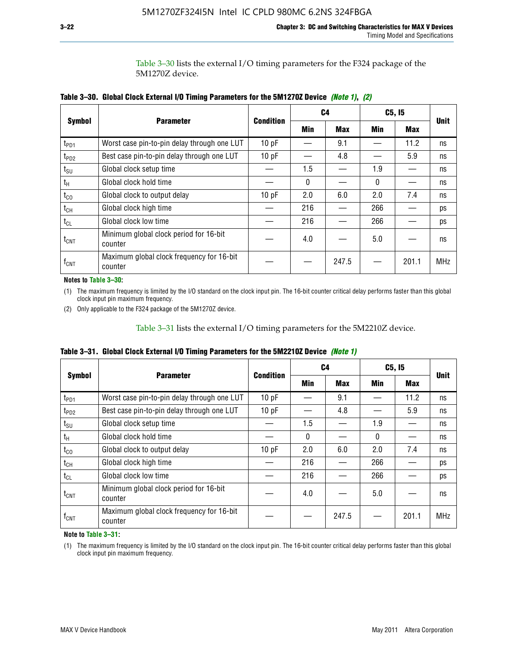Table 3–30 lists the external I/O timing parameters for the F324 package of the 5M1270Z device.

|                    |                                                      |                  |     | C <sub>4</sub> | C5, I5 | <b>Unit</b> |            |  |
|--------------------|------------------------------------------------------|------------------|-----|----------------|--------|-------------|------------|--|
| <b>Symbol</b>      | <b>Parameter</b>                                     | <b>Condition</b> | Min | <b>Max</b>     | Min    | <b>Max</b>  |            |  |
| t <sub>PD1</sub>   | Worst case pin-to-pin delay through one LUT          | 10pF             |     | 9.1            |        | 11.2        | ns         |  |
| t <sub>PD2</sub>   | Best case pin-to-pin delay through one LUT           | 10pF             |     | 4.8            |        | 5.9         | ns         |  |
| $t_{\text{SU}}$    | Global clock setup time                              |                  | 1.5 |                | 1.9    |             | ns         |  |
| $t_{H}$            | Global clock hold time                               |                  | 0   |                | 0      |             | ns         |  |
| $t_{CO}$           | Global clock to output delay                         | 10pF             | 2.0 | 6.0            | 2.0    | 7.4         | ns         |  |
| $t_{CH}$           | Global clock high time                               |                  | 216 |                | 266    |             | ps         |  |
| $t_{CL}$           | Global clock low time                                |                  | 216 |                | 266    |             | ps         |  |
| $t_{\text{CNT}}$   | Minimum global clock period for 16-bit<br>counter    |                  | 4.0 |                | 5.0    |             | ns         |  |
| $f_{\mathsf{CNT}}$ | Maximum global clock frequency for 16-bit<br>counter |                  |     | 247.5          |        | 201.1       | <b>MHz</b> |  |

**Table 3–30. Global Clock External I/O Timing Parameters for the 5M1270Z Device** *(Note 1)***,** *(2)*

#### **Notes to Table 3–30:**

(1) The maximum frequency is limited by the I/O standard on the clock input pin. The 16-bit counter critical delay performs faster than this global clock input pin maximum frequency.

(2) Only applicable to the F324 package of the 5M1270Z device.

Table 3–31 lists the external I/O timing parameters for the 5M2210Z device.

|  |  | Table 3–31. Global Clock External I/O Timing Parameters for the 5M2210Z Device <i>(Note 1)</i> |  |  |
|--|--|------------------------------------------------------------------------------------------------|--|--|
|--|--|------------------------------------------------------------------------------------------------|--|--|

|                    | <b>Parameter</b>                                     | <b>Condition</b> |          | C4         | C5, I5   |            | <b>Unit</b> |  |
|--------------------|------------------------------------------------------|------------------|----------|------------|----------|------------|-------------|--|
| <b>Symbol</b>      |                                                      |                  | Min      | <b>Max</b> | Min      | <b>Max</b> |             |  |
| t <sub>PD1</sub>   | Worst case pin-to-pin delay through one LUT          | 10pF             |          | 9.1        |          | 11.2       | ns          |  |
| t <sub>PD2</sub>   | Best case pin-to-pin delay through one LUT           | 10 pF            |          | 4.8        |          | 5.9        | ns          |  |
| $t_{\text{SU}}$    | Global clock setup time                              |                  | 1.5      |            | 1.9      |            | ns          |  |
| $t_{H}$            | Global clock hold time                               |                  | $\Omega$ |            | $\Omega$ |            | ns          |  |
| $t_{\rm CO}$       | Global clock to output delay                         | 10pF             | 2.0      | 6.0        | 2.0      | 7.4        | ns          |  |
| $t_{CH}$           | Global clock high time                               |                  | 216      |            | 266      |            | ps          |  |
| $t_{CL}$           | Global clock low time                                |                  | 216      |            | 266      |            | ps          |  |
| $t_{\text{CNT}}$   | Minimum global clock period for 16-bit<br>counter    |                  | 4.0      |            | 5.0      |            | ns          |  |
| $f_{\mathsf{CNT}}$ | Maximum global clock frequency for 16-bit<br>counter |                  |          | 247.5      |          | 201.1      | <b>MHz</b>  |  |

**Note to Table 3–31:**

(1) The maximum frequency is limited by the I/O standard on the clock input pin. The 16-bit counter critical delay performs faster than this global clock input pin maximum frequency.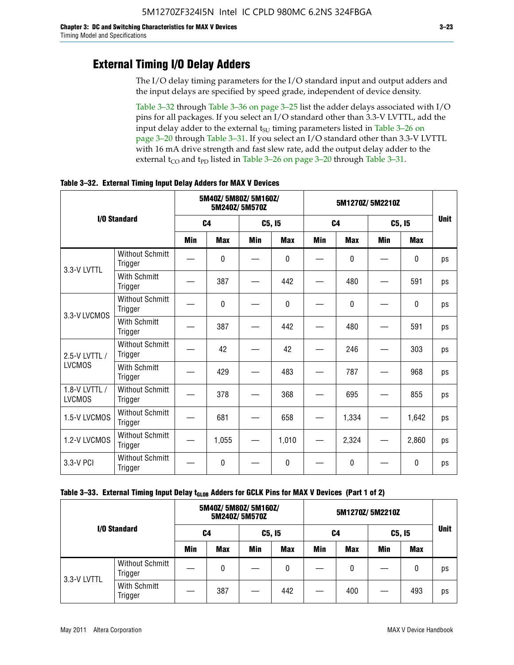### **External Timing I/O Delay Adders**

The I/O delay timing parameters for the I/O standard input and output adders and the input delays are specified by speed grade, independent of device density.

Table 3–32 through Table 3–36 on page 3–25 list the adder delays associated with I/O pins for all packages. If you select an I/O standard other than 3.3-V LVTTL, add the input delay adder to the external  $t_{\text{SU}}$  timing parameters listed in Table 3-26 on page 3–20 through Table 3–31. If you select an I/O standard other than 3.3-V LVTTL with 16 mA drive strength and fast slew rate, add the output delay adder to the external  $t_{CO}$  and  $t_{PD}$  listed in Table 3–26 on page 3–20 through Table 3–31.

|                                |                                   | 5M40Z/ 5M80Z/ 5M160Z/<br>5M240Z/5M570Z |            |            |              | 5M1270Z/5M2210Z |            |     |              |             |
|--------------------------------|-----------------------------------|----------------------------------------|------------|------------|--------------|-----------------|------------|-----|--------------|-------------|
|                                | I/O Standard                      | C <sub>4</sub>                         |            | C5, I5     |              | C <sub>4</sub>  |            |     | C5, I5       | <b>Unit</b> |
|                                |                                   |                                        | <b>Max</b> | <b>Min</b> | <b>Max</b>   | <b>Min</b>      | <b>Max</b> | Min | <b>Max</b>   |             |
| 3.3-V LVTTL                    | <b>Without Schmitt</b><br>Trigger |                                        | 0          |            | $\mathbf{0}$ |                 | $\Omega$   |     | $\mathbf{0}$ | ps          |
|                                | <b>With Schmitt</b><br>Trigger    |                                        | 387        |            | 442          |                 | 480        |     | 591          | ps          |
| 3.3-V LVCMOS                   | <b>Without Schmitt</b><br>Trigger |                                        | 0          |            | 0            |                 | 0          |     | 0            | ps          |
|                                | <b>With Schmitt</b><br>Trigger    |                                        | 387        |            | 442          |                 | 480        |     | 591          | ps          |
| 2.5-V LVTTL /                  | <b>Without Schmitt</b><br>Trigger |                                        | 42         |            | 42           |                 | 246        |     | 303          | ps          |
| <b>LVCMOS</b>                  | With Schmitt<br>Trigger           |                                        | 429        |            | 483          |                 | 787        |     | 968          | ps          |
| 1.8-V LVTTL /<br><b>LVCMOS</b> | <b>Without Schmitt</b><br>Trigger |                                        | 378        |            | 368          |                 | 695        |     | 855          | ps          |
| 1.5-V LVCMOS                   | <b>Without Schmitt</b><br>Trigger |                                        | 681        |            | 658          |                 | 1,334      |     | 1,642        | ps          |
| 1.2-V LVCMOS                   | <b>Without Schmitt</b><br>Trigger |                                        | 1,055      |            | 1,010        |                 | 2,324      |     | 2,860        | ps          |
| 3.3-V PCI                      | Without Schmitt<br>Trigger        |                                        | 0          |            | $\Omega$     |                 | $\Omega$   |     | $\Omega$     | ps          |

**Table 3–32. External Timing Input Delay Adders for MAX V Devices**

| I/O Standard |                                   | 5M40Z/ 5M80Z/ 5M160Z/<br>5M240Z/5M570Z |            |        |            |     |            |        |            |             |
|--------------|-----------------------------------|----------------------------------------|------------|--------|------------|-----|------------|--------|------------|-------------|
|              |                                   | C4                                     |            | C5, I5 |            | C4  |            | C5, I5 |            | <b>Unit</b> |
|              |                                   | <b>Min</b>                             | <b>Max</b> | Min    | <b>Max</b> | Min | <b>Max</b> | Min    | <b>Max</b> |             |
| 3.3-V LVTTL  | <b>Without Schmitt</b><br>Trigger |                                        | 0          |        | 0          |     | 0          |        | 0          | ps          |
|              | With Schmitt<br>Trigger           |                                        | 387        |        | 442        |     | 400        |        | 493        | ps          |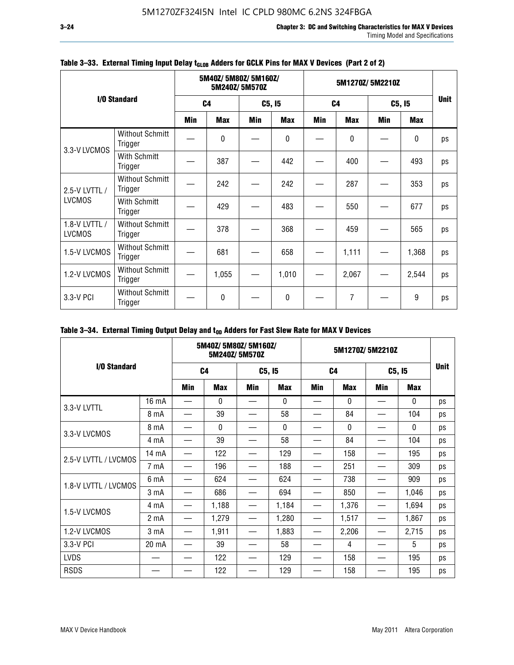|                                |                                   | 5M40Z/5M80Z/5M160Z/<br>5M240Z/5M570Z |                |     |              | 5M1270Z/5M2210Z |                |     |            |    |
|--------------------------------|-----------------------------------|--------------------------------------|----------------|-----|--------------|-----------------|----------------|-----|------------|----|
|                                | I/O Standard                      |                                      | C <sub>4</sub> |     | C5, I5       |                 | C <sub>4</sub> |     | C5, I5     |    |
|                                |                                   | <b>Min</b>                           | <b>Max</b>     | Min | <b>Max</b>   | Min             | <b>Max</b>     | Min | <b>Max</b> |    |
| 3.3-V LVCMOS                   | <b>Without Schmitt</b><br>Trigger |                                      | $\mathbf{0}$   |     | 0            |                 | 0              |     | 0          | ps |
|                                | With Schmitt<br>Trigger           |                                      | 387            |     | 442          |                 | 400            |     | 493        | ps |
| 2.5-V LVTTL /                  | <b>Without Schmitt</b><br>Trigger |                                      | 242            |     | 242          |                 | 287            |     | 353        | ps |
| <b>LVCMOS</b>                  | With Schmitt<br>Trigger           |                                      | 429            |     | 483          |                 | 550            |     | 677        | ps |
| 1.8-V LVTTL /<br><b>LVCMOS</b> | <b>Without Schmitt</b><br>Trigger |                                      | 378            |     | 368          |                 | 459            |     | 565        | ps |
| 1.5-V LVCMOS                   | <b>Without Schmitt</b><br>Trigger |                                      | 681            |     | 658          |                 | 1,111          |     | 1,368      | ps |
| 1.2-V LVCMOS                   | <b>Without Schmitt</b><br>Trigger |                                      | 1,055          |     | 1,010        |                 | 2,067          |     | 2,544      | ps |
| 3.3-V PCI                      | <b>Without Schmitt</b><br>Trigger |                                      | $\mathbf{0}$   |     | $\mathbf{0}$ |                 | 7              |     | 9          | ps |

### Table 3-33. External Timing Input Delay t<sub>GLOB</sub> Adders for GCLK Pins for MAX V Devices (Part 2 of 2)

### Table 3-34. External Timing Output Delay and t<sub>op</sub> Adders for Fast Slew Rate for MAX V Devices

|                      |                  | 5M40Z/ 5M80Z/ 5M160Z/<br>5M240Z/5M570Z |              |            |              | 5M1270Z/5M2210Z |            |                               |              |             |
|----------------------|------------------|----------------------------------------|--------------|------------|--------------|-----------------|------------|-------------------------------|--------------|-------------|
| I/O Standard         |                  | C <sub>4</sub>                         |              | C5, I5     |              | C <sub>4</sub>  |            | C5, I5                        |              | <b>Unit</b> |
|                      |                  | <b>Min</b>                             | <b>Max</b>   | <b>Min</b> | <b>Max</b>   | Min             | <b>Max</b> | Min                           | Max          |             |
| 3.3-V LVTTL          | 16 mA            |                                        | $\mathbf{0}$ |            | $\mathbf{0}$ |                 | $\Omega$   |                               | $\mathbf{0}$ | ps          |
|                      | 8 mA             |                                        | 39           |            | 58           |                 | 84         |                               | 104          | ps          |
|                      | 8 mA             |                                        | $\mathbf{0}$ |            | $\Omega$     |                 | $\Omega$   |                               | $\Omega$     | ps          |
| 3.3-V LVCMOS         | 4 mA             |                                        | 39           |            | 58           |                 | 84         |                               | 104          | ps          |
|                      | 14 mA            |                                        | 122          |            | 129          |                 | 158        |                               | 195          | ps          |
| 2.5-V LVTTL / LVCMOS | 7 mA             |                                        | 196          |            | 188          |                 | 251        |                               | 309          | ps          |
| 1.8-V LVTTL / LVCMOS | 6 mA             |                                        | 624          |            | 624          |                 | 738        |                               | 909          | ps          |
|                      | 3 mA             |                                        | 686          |            | 694          |                 | 850        |                               | 1,046        | ps          |
| 1.5-V LVCMOS         | 4 mA             | —                                      | 1,188        | —          | 1,184        |                 | 1,376      |                               | 1,694        | ps          |
|                      | 2 <sub>m</sub> A | —                                      | 1,279        |            | 1,280        |                 | 1,517      | $\overbrace{\phantom{13333}}$ | 1,867        | ps          |
| 1.2-V LVCMOS         | 3 <sub>m</sub> A | —                                      | 1,911        |            | 1,883        |                 | 2,206      |                               | 2,715        | ps          |
| 3.3-V PCI            | 20 mA            |                                        | 39           |            | 58           |                 | 4          |                               | 5            | ps          |
| <b>LVDS</b>          |                  |                                        | 122          |            | 129          |                 | 158        |                               | 195          | ps          |
| <b>RSDS</b>          |                  |                                        | 122          |            | 129          |                 | 158        |                               | 195          | ps          |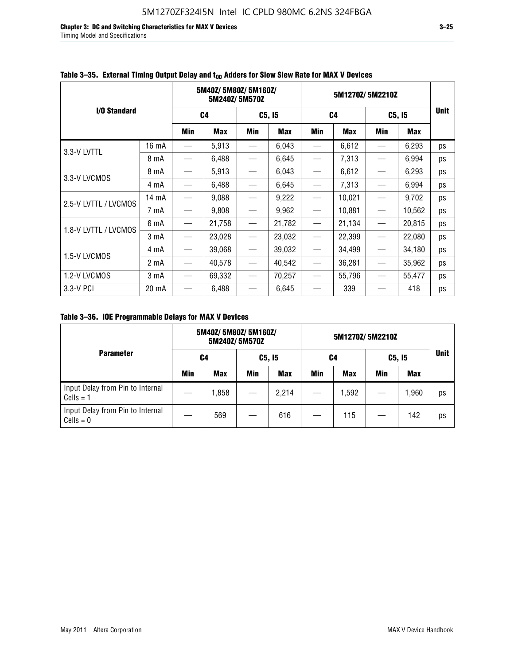**Chapter 3: DC and Switching Characteristics for MAX V Devices 3–25** Timing Model and Specifications

|                      |       |                          | 5M40Z/5M80Z/5M160Z/ | 5M240Z/5M570Z                 |            | 5M1270Z/5M2210Z   |            |                                  |        | <b>Unit</b> |
|----------------------|-------|--------------------------|---------------------|-------------------------------|------------|-------------------|------------|----------------------------------|--------|-------------|
| I/O Standard         |       | C4                       |                     |                               | C5, I5     | C <sub>4</sub>    |            | C5, I5                           |        |             |
|                      |       | Min                      | <b>Max</b>          | Min                           | <b>Max</b> | Min               | <b>Max</b> | Min                              | Max    |             |
|                      | 16 mA |                          | 5,913               |                               | 6,043      |                   | 6,612      |                                  | 6,293  | ps          |
| 3.3-V LVTTL          | 8 mA  |                          | 6,488               |                               | 6,645      |                   | 7,313      |                                  | 6,994  | ps          |
| 3.3-V LVCMOS         | 8 mA  |                          | 5,913               |                               | 6,043      |                   | 6,612      |                                  | 6,293  | ps          |
|                      | 4 mA  | —                        | 6,488               |                               | 6,645      |                   | 7,313      |                                  | 6,994  | ps          |
| 2.5-V LVTTL / LVCMOS | 14 mA |                          | 9,088               |                               | 9,222      |                   | 10,021     |                                  | 9,702  | ps          |
|                      | 7 mA  |                          | 9,808               |                               | 9,962      |                   | 10,881     |                                  | 10,562 | ps          |
| 1.8-V LVTTL / LVCMOS | 6 mA  | $\overline{\phantom{0}}$ | 21,758              |                               | 21,782     |                   | 21,134     |                                  | 20,815 | ps          |
|                      | 3 mA  |                          | 23,028              | $\overbrace{\phantom{13333}}$ | 23,032     |                   | 22,399     |                                  | 22,080 | ps          |
| 1.5-V LVCMOS         | 4 mA  | $\overline{\phantom{0}}$ | 39,068              | $\overline{\phantom{m}}$      | 39,032     |                   | 34,499     |                                  | 34,180 | ps          |
|                      | 2 mA  |                          | 40,578              |                               | 40,542     |                   | 36,281     |                                  | 35,962 | ps          |
| 1.2-V LVCMOS         | 3 mA  | $\overline{\phantom{0}}$ | 69,332              | $\overline{\phantom{m}}$      | 70,257     | $\hspace{0.05cm}$ | 55,796     | $\overbrace{\phantom{12322111}}$ | 55,477 | ps          |
| 3.3-V PCI            | 20 mA |                          | 6,488               |                               | 6,645      |                   | 339        |                                  | 418    | ps          |

### Table 3–35. External Timing Output Delay and t<sub>on</sub> Adders for Slow Slew Rate for MAX V Devices

**Table 3–36. IOE Programmable Delays for MAX V Devices**

|                                                 | 5M40Z/5M80Z/5M160Z/<br>5M240Z/5M570Z |            |     |            | 5M1270Z/5M2210Z |            |     |            |    |
|-------------------------------------------------|--------------------------------------|------------|-----|------------|-----------------|------------|-----|------------|----|
| <b>Parameter</b>                                | C4                                   |            |     | C5, I5     |                 | C4         |     | C5, I5     |    |
|                                                 | Min                                  | <b>Max</b> | Min | <b>Max</b> | Min             | <b>Max</b> | Min | <b>Max</b> |    |
| Input Delay from Pin to Internal<br>$Cells = 1$ |                                      | 1,858      |     | 2,214      |                 | 1,592      |     | 1,960      | ps |
| Input Delay from Pin to Internal<br>$Cells = 0$ |                                      | 569        |     | 616        |                 | 115        |     | 142        | ps |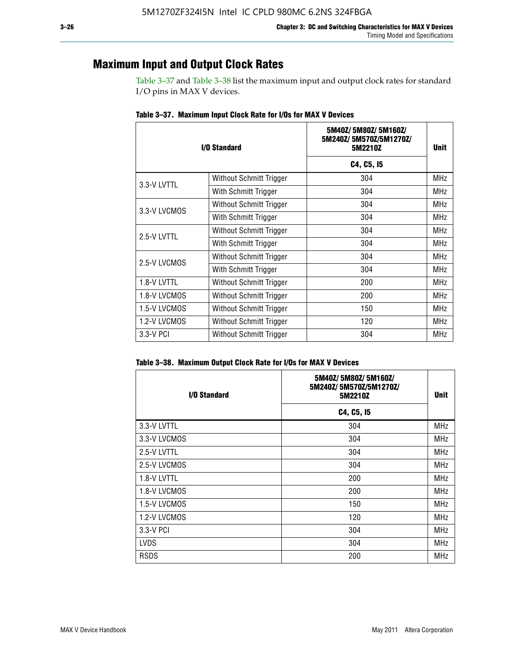### **Maximum Input and Output Clock Rates**

Table 3–37 and Table 3–38 list the maximum input and output clock rates for standard I/O pins in MAX V devices.

| I/O Standard |                         | 5M40Z/5M80Z/5M160Z/<br>5M240Z/5M570Z/5M1270Z/<br>5M2210Z | Unit       |
|--------------|-------------------------|----------------------------------------------------------|------------|
|              |                         | C4, C5, I5                                               |            |
| 3.3-V LVTTL  | Without Schmitt Trigger | 304                                                      | <b>MHz</b> |
|              | With Schmitt Trigger    | 304                                                      | <b>MHz</b> |
| 3.3-V LVCMOS | Without Schmitt Trigger | 304                                                      | <b>MHz</b> |
|              | With Schmitt Trigger    | 304                                                      | MHz        |
|              | Without Schmitt Trigger | 304                                                      | <b>MHz</b> |
| 2.5-V LVTTL  | With Schmitt Trigger    | 304                                                      | MHz        |
| 2.5-V LVCMOS | Without Schmitt Trigger | 304                                                      | <b>MHz</b> |
|              | With Schmitt Trigger    | 304                                                      | MHz        |
| 1.8-V LVTTL  | Without Schmitt Trigger | 200                                                      | MHz        |
| 1.8-V LVCMOS | Without Schmitt Trigger | 200                                                      | <b>MHz</b> |
| 1.5-V LVCMOS | Without Schmitt Trigger | 150                                                      | MHz        |
| 1.2-V LVCMOS | Without Schmitt Trigger | 120                                                      | <b>MHz</b> |
| 3.3-V PCI    | Without Schmitt Trigger | 304                                                      | <b>MHz</b> |

**Table 3–37. Maximum Input Clock Rate for I/Os for MAX V Devices**

|  |  | Table 3–38. Maximum Output Clock Rate for I/Os for MAX V Devices |
|--|--|------------------------------------------------------------------|
|  |  |                                                                  |

| <b>I/O Standard</b> | 5M40Z/5M80Z/5M160Z/<br>5M240Z/5M570Z/5M1270Z/<br>5M2210Z | <b>Unit</b> |
|---------------------|----------------------------------------------------------|-------------|
|                     | C4, C5, I5                                               |             |
| 3.3-V LVTTL         | 304                                                      | <b>MHz</b>  |
| 3.3-V LVCMOS        | 304                                                      | MHz         |
| 2.5-V LVTTL         | 304                                                      | <b>MHz</b>  |
| 2.5-V LVCMOS        | 304                                                      | <b>MHz</b>  |
| 1.8-V LVTTL         | 200                                                      | <b>MHz</b>  |
| 1.8-V LVCMOS        | 200                                                      | <b>MHz</b>  |
| 1.5-V LVCMOS        | 150                                                      | <b>MHz</b>  |
| 1.2-V LVCMOS        | 120                                                      | <b>MHz</b>  |
| 3.3-V PCI           | 304                                                      | <b>MHz</b>  |
| <b>LVDS</b>         | 304                                                      | <b>MHz</b>  |
| <b>RSDS</b>         | 200                                                      | <b>MHz</b>  |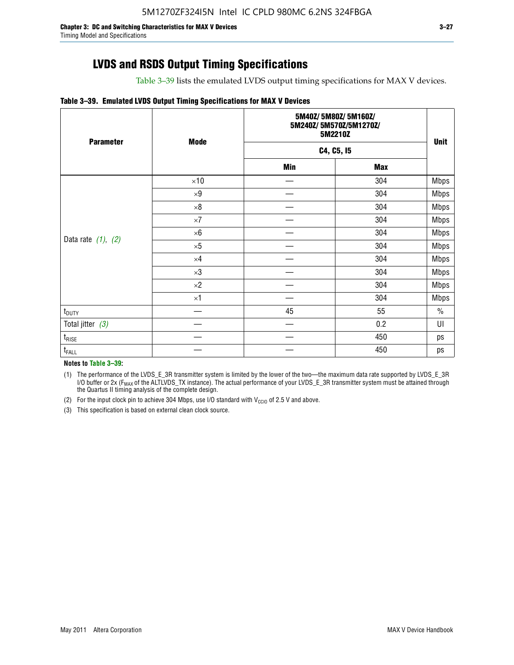### **LVDS and RSDS Output Timing Specifications**

Table 3–39 lists the emulated LVDS output timing specifications for MAX V devices.

#### **Table 3–39. Emulated LVDS Output Timing Specifications for MAX V Devices**

| <b>Parameter</b>        | <b>Mode</b> | 5M40Z/5M80Z/5M160Z/<br>5M240Z/5M570Z/5M1270Z/<br>5M2210Z | <b>Unit</b> |             |
|-------------------------|-------------|----------------------------------------------------------|-------------|-------------|
|                         |             | C4, C5, I5                                               |             |             |
|                         |             | <b>Min</b>                                               | <b>Max</b>  |             |
|                         | $\times 10$ |                                                          | 304         | <b>Mbps</b> |
|                         | $\times 9$  |                                                          | 304         | <b>Mbps</b> |
|                         | $\times 8$  |                                                          | 304         | <b>Mbps</b> |
|                         | $\times 7$  |                                                          | 304         | <b>Mbps</b> |
|                         | $\times 6$  |                                                          | 304         | <b>Mbps</b> |
| Data rate $(1)$ , $(2)$ | $\times 5$  |                                                          | 304         | <b>Mbps</b> |
|                         | $\times 4$  |                                                          | 304         | <b>Mbps</b> |
|                         | $\times 3$  |                                                          | 304         | <b>Mbps</b> |
|                         | $\times 2$  |                                                          | 304         | <b>Mbps</b> |
|                         | $\times1$   |                                                          | 304         | <b>Mbps</b> |
| t <sub>DUTY</sub>       |             | 45                                                       | 55          | $\%$        |
| Total jitter $(3)$      |             |                                                          | 0.2         | UI          |
| $t_{\text{RISE}}$       |             |                                                          | 450         | ps          |
| $t_{FALL}$              |             |                                                          | 450         | ps          |

**Notes to Table 3–39:**

(1) The performance of the LVDS\_E\_3R transmitter system is limited by the lower of the two—the maximum data rate supported by LVDS\_E\_3R I/O buffer or 2x (F<sub>MAX</sub> of the ALTLVDS\_TX instance). The actual performance of your LVDS\_E\_3R transmitter system must be attained through the Quartus II timing analysis of the complete design.

(2) For the input clock pin to achieve 304 Mbps, use I/O standard with  $V_{\text{CCIO}}$  of 2.5 V and above.

(3) This specification is based on external clean clock source.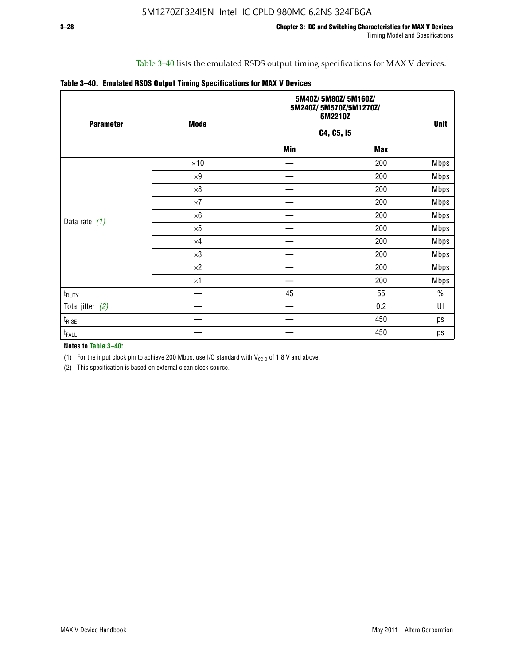### Table 3–40 lists the emulated RSDS output timing specifications for MAX V devices.

|  |  |  |  | Table 3-40. Emulated RSDS Output Timing Specifications for MAX V Devices |
|--|--|--|--|--------------------------------------------------------------------------|
|--|--|--|--|--------------------------------------------------------------------------|

| <b>Parameter</b>   | <b>Mode</b> |            | 5M40Z/5M80Z/5M160Z/<br>5M240Z/5M570Z/5M1270Z/<br>5M2210Z |             |  |  |
|--------------------|-------------|------------|----------------------------------------------------------|-------------|--|--|
|                    |             |            | C4, C5, I5                                               |             |  |  |
|                    |             | <b>Min</b> | <b>Max</b>                                               |             |  |  |
|                    | $\times 10$ |            | 200                                                      | <b>Mbps</b> |  |  |
|                    | $\times 9$  |            | 200                                                      | <b>Mbps</b> |  |  |
|                    | $\times 8$  |            | 200                                                      | <b>Mbps</b> |  |  |
|                    | $\times 7$  |            | 200                                                      | <b>Mbps</b> |  |  |
|                    | $\times 6$  |            | 200                                                      | <b>Mbps</b> |  |  |
| Data rate $(1)$    | $\times 5$  |            | 200                                                      | <b>Mbps</b> |  |  |
|                    | $\times 4$  |            | 200                                                      | <b>Mbps</b> |  |  |
|                    | $\times 3$  |            | 200                                                      | <b>Mbps</b> |  |  |
|                    | $\times 2$  |            | 200                                                      | <b>Mbps</b> |  |  |
|                    | $\times 1$  |            | 200                                                      | <b>Mbps</b> |  |  |
| $t_{\text{DUTY}}$  |             | 45         | 55                                                       | $\%$        |  |  |
| Total jitter $(2)$ |             |            | 0.2                                                      | UI          |  |  |
| $t_{\rm RISE}$     |             |            | 450                                                      | ps          |  |  |
| t <sub>FALL</sub>  |             |            | 450                                                      | ps          |  |  |

**Notes to Table 3–40:**

(1) For the input clock pin to achieve 200 Mbps, use I/O standard with  $V_{\text{CCIO}}$  of 1.8 V and above.

(2) This specification is based on external clean clock source.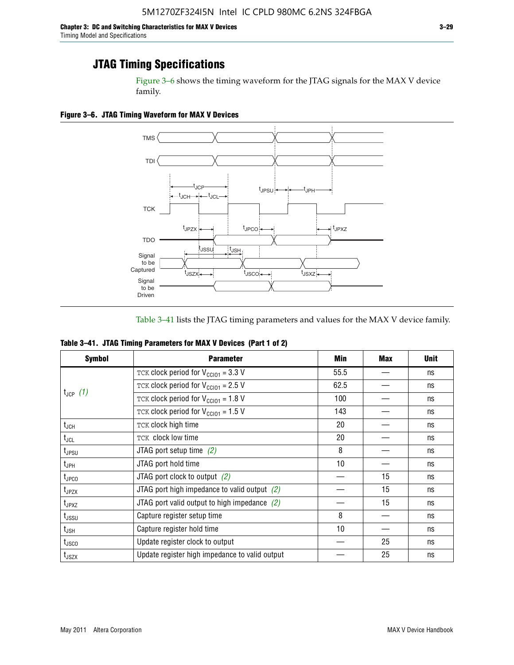Figure 3–6 shows the timing waveform for the JTAG signals for the MAX V device family.

**Figure 3–6. JTAG Timing Waveform for MAX V Devices**



Table 3–41 lists the JTAG timing parameters and values for the MAX V device family.

| Table 3-41. JTAG Timing Parameters for MAX V Devices (Part 1 of 2) |  |  |  |
|--------------------------------------------------------------------|--|--|--|
|                                                                    |  |  |  |

| <b>Symbol</b>                                                                                                                                                                                                                                                                                                                                                                                      | <b>Parameter</b>                                | Min             | <b>Max</b> | <b>Unit</b> |
|----------------------------------------------------------------------------------------------------------------------------------------------------------------------------------------------------------------------------------------------------------------------------------------------------------------------------------------------------------------------------------------------------|-------------------------------------------------|-----------------|------------|-------------|
|                                                                                                                                                                                                                                                                                                                                                                                                    | TCK clock period for $V_{CCIO1} = 3.3 V$        | 55.5            |            | ns          |
|                                                                                                                                                                                                                                                                                                                                                                                                    | TCK clock period for $V_{\text{CC101}} = 2.5$ V | 62.5            |            | ns          |
|                                                                                                                                                                                                                                                                                                                                                                                                    | TCK clock period for $V_{CC101} = 1.8 V$        | 100             |            | ns          |
| $t_{JCP}$ (1)<br>TCK clock period for $V_{CC101} = 1.5 V$<br>TCK clock high time<br>TCK clock low time<br>JTAG port setup time $(2)$<br>JTAG port hold time<br>JTAG port clock to output $(2)$<br>JTAG port high impedance to valid output $(2)$<br>JTAG port valid output to high impedance $(2)$<br>Capture register setup time<br>Capture register hold time<br>Update register clock to output | 143                                             |                 | ns         |             |
| $t_{JCH}$                                                                                                                                                                                                                                                                                                                                                                                          |                                                 | 20              |            | ns          |
| $t_{\sf JCL}$                                                                                                                                                                                                                                                                                                                                                                                      |                                                 | 20              |            | ns          |
| t <sub>JPSU</sub>                                                                                                                                                                                                                                                                                                                                                                                  |                                                 | 8               |            | ns          |
| t <sub>JPH</sub>                                                                                                                                                                                                                                                                                                                                                                                   |                                                 | 10 <sup>1</sup> |            | ns          |
| $t_{\text{JPCO}}$                                                                                                                                                                                                                                                                                                                                                                                  |                                                 |                 | 15         | ns          |
| $t_{JPZX}$                                                                                                                                                                                                                                                                                                                                                                                         |                                                 |                 | 15         | ns          |
| $t_{JPXZ}$                                                                                                                                                                                                                                                                                                                                                                                         |                                                 |                 | 15         | ns          |
| t <sub>JSSU</sub>                                                                                                                                                                                                                                                                                                                                                                                  |                                                 | 8               |            | ns          |
| t <sub>JSH</sub>                                                                                                                                                                                                                                                                                                                                                                                   |                                                 | 10              |            | ns          |
| t <sub>usco</sub>                                                                                                                                                                                                                                                                                                                                                                                  |                                                 |                 | 25         | ns          |
| $t_{\text{JSZX}}$                                                                                                                                                                                                                                                                                                                                                                                  | Update register high impedance to valid output  |                 | 25         | ns          |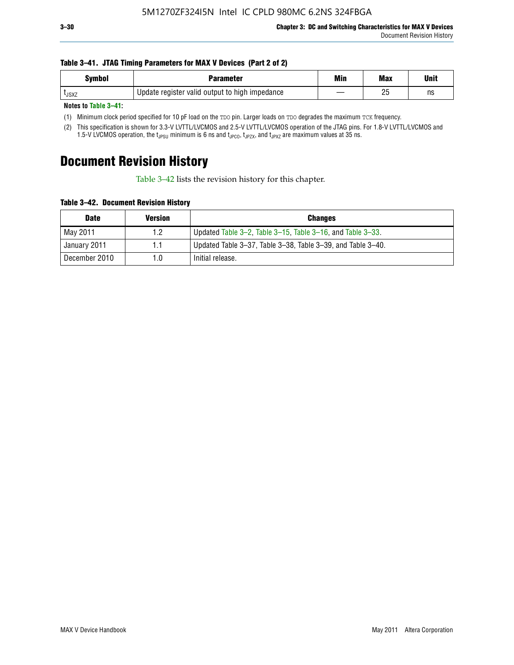#### **Table 3–41. JTAG Timing Parameters for MAX V Devices (Part 2 of 2)**

| <b>Symbol</b> | Parameter                                      | Min | <b>Max</b> | Unit |
|---------------|------------------------------------------------|-----|------------|------|
| <b>L</b> JSXZ | Update register valid output to high impedance |     | りに<br>۷J   | ns   |

**Notes to Table 3–41:**

(1) Minimum clock period specified for 10 pF load on the TDO pin. Larger loads on TDO degrades the maximum TCK frequency.

(2) This specification is shown for 3.3-V LVTTL/LVCMOS and 2.5-V LVTTL/LVCMOS operation of the JTAG pins. For 1.8-V LVTTL/LVCMOS and 1.5-V LVCMOS operation, the t<sub>JPSU</sub> minimum is 6 ns and t<sub>JPCO</sub>, t<sub>JPZX</sub>, and t<sub>JPXZ</sub> are maximum values at 35 ns.

# **Document Revision History**

Table 3–42 lists the revision history for this chapter.

**Table 3–42. Document Revision History**

| <b>Date</b>   | <b>Version</b> | <b>Changes</b>                                              |
|---------------|----------------|-------------------------------------------------------------|
| May 2011      | 1.2            | Updated Table 3–2, Table 3–15, Table 3–16, and Table 3–33.  |
| January 2011  | 1.1            | Updated Table 3–37, Table 3–38, Table 3–39, and Table 3–40. |
| December 2010 | 1.0            | Initial release.                                            |